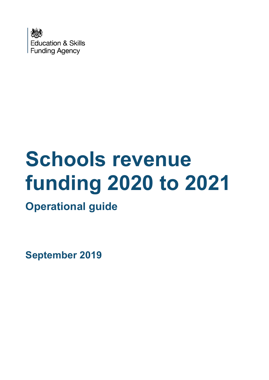

# **Schools revenue funding 2020 to 2021**

**Operational guide**

**September 2019**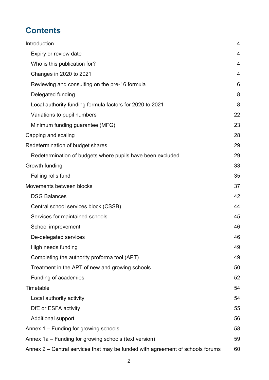# **Contents**

| Introduction                                                                   | 4  |
|--------------------------------------------------------------------------------|----|
| Expiry or review date                                                          | 4  |
| Who is this publication for?                                                   | 4  |
| Changes in 2020 to 2021                                                        | 4  |
| Reviewing and consulting on the pre-16 formula                                 | 6  |
| Delegated funding                                                              | 8  |
| Local authority funding formula factors for 2020 to 2021                       | 8  |
| Variations to pupil numbers                                                    | 22 |
| Minimum funding guarantee (MFG)                                                | 23 |
| Capping and scaling                                                            | 28 |
| Redetermination of budget shares                                               | 29 |
| Redetermination of budgets where pupils have been excluded                     | 29 |
| Growth funding                                                                 | 33 |
| Falling rolls fund                                                             | 35 |
| Movements between blocks                                                       | 37 |
| <b>DSG Balances</b>                                                            | 42 |
| Central school services block (CSSB)                                           | 44 |
| Services for maintained schools                                                | 45 |
| School improvement                                                             | 46 |
| De-delegated services                                                          | 46 |
| High needs funding                                                             | 49 |
| Completing the authority proforma tool (APT)                                   | 49 |
| Treatment in the APT of new and growing schools                                | 50 |
| Funding of academies                                                           | 52 |
| Timetable                                                                      | 54 |
| Local authority activity                                                       | 54 |
| DfE or ESFA activity                                                           | 55 |
| <b>Additional support</b>                                                      | 56 |
| Annex 1 – Funding for growing schools                                          | 58 |
| Annex 1a – Funding for growing schools (text version)                          | 59 |
| Annex 2 – Central services that may be funded with agreement of schools forums | 60 |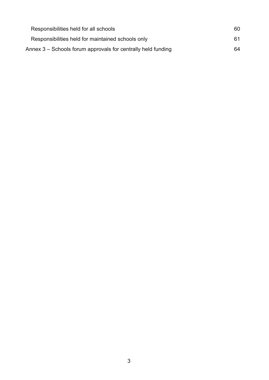| Responsibilities held for all schools                        | 60 |
|--------------------------------------------------------------|----|
| Responsibilities held for maintained schools only            | 61 |
| Annex 3 – Schools forum approvals for centrally held funding | 64 |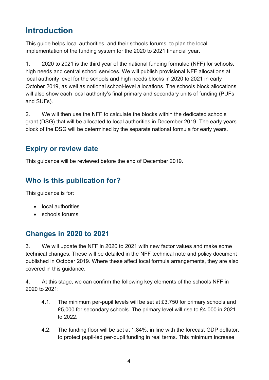# <span id="page-3-0"></span>**Introduction**

This guide helps local authorities, and their schools forums, to plan the local implementation of the funding system for the 2020 to 2021 financial year.

1. 2020 to 2021 is the third year of the national funding formulae (NFF) for schools, high needs and central school services. We will publish provisional NFF allocations at local authority level for the schools and high needs blocks in 2020 to 2021 in early October 2019, as well as notional school-level allocations. The schools block allocations will also show each local authority's final primary and secondary units of funding (PUFs and SUFs).

2. We will then use the NFF to calculate the blocks within the dedicated schools grant (DSG) that will be allocated to local authorities in December 2019. The early years block of the DSG will be determined by the separate national formula for early years.

## <span id="page-3-1"></span>**Expiry or review date**

This guidance will be reviewed before the end of December 2019.

## <span id="page-3-2"></span>**Who is this publication for?**

This guidance is for:

- local authorities
- schools forums

## <span id="page-3-3"></span>**Changes in 2020 to 2021**

3. We will update the NFF in 2020 to 2021 with new factor values and make some technical changes. These will be detailed in the NFF technical note and policy document published in October 2019. Where these affect local formula arrangements, they are also covered in this guidance.

4. At this stage, we can confirm the following key elements of the schools NFF in 2020 to 2021:

- 4.1. The minimum per-pupil levels will be set at £3,750 for primary schools and £5,000 for secondary schools. The primary level will rise to £4,000 in 2021 to 2022.
- 4.2. The funding floor will be set at 1.84%, in line with the forecast GDP deflator, to protect pupil-led per-pupil funding in real terms. This minimum increase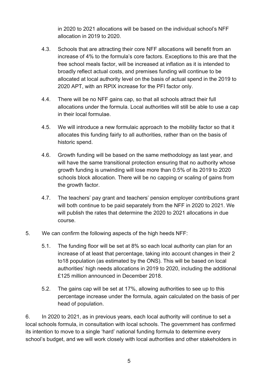in 2020 to 2021 allocations will be based on the individual school's NFF allocation in 2019 to 2020.

- 4.3. Schools that are attracting their core NFF allocations will benefit from an increase of 4% to the formula's core factors. Exceptions to this are that the free school meals factor, will be increased at inflation as it is intended to broadly reflect actual costs, and premises funding will continue to be allocated at local authority level on the basis of actual spend in the 2019 to 2020 APT, with an RPIX increase for the PFI factor only.
- 4.4. There will be no NFF gains cap, so that all schools attract their full allocations under the formula. Local authorities will still be able to use a cap in their local formulae.
- 4.5. We will introduce a new formulaic approach to the mobility factor so that it allocates this funding fairly to all authorities, rather than on the basis of historic spend.
- 4.6. Growth funding will be based on the same methodology as last year, and will have the same transitional protection ensuring that no authority whose growth funding is unwinding will lose more than 0.5% of its 2019 to 2020 schools block allocation. There will be no capping or scaling of gains from the growth factor.
- 4.7. The teachers' pay grant and teachers' pension employer contributions grant will both continue to be paid separately from the NFF in 2020 to 2021. We will publish the rates that determine the 2020 to 2021 allocations in due course.
- 5. We can confirm the following aspects of the high heeds NFF:
	- 5.1. The funding floor will be set at 8% so each local authority can plan for an increase of at least that percentage, taking into account changes in their 2 to18 population (as estimated by the ONS). This will be based on local authorities' high needs allocations in 2019 to 2020, including the additional £125 million announced in December 2018.
	- 5.2. The gains cap will be set at 17%, allowing authorities to see up to this percentage increase under the formula, again calculated on the basis of per head of population.

6. In 2020 to 2021, as in previous years, each local authority will continue to set a local schools formula, in consultation with local schools. The government has confirmed its intention to move to a single 'hard' national funding formula to determine every school's budget, and we will work closely with local authorities and other stakeholders in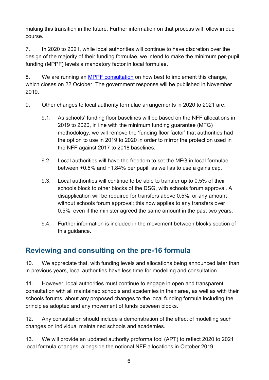making this transition in the future. Further information on that process will follow in due course.

7. In 2020 to 2021, while local authorities will continue to have discretion over the design of the majority of their funding formulae, we intend to make the minimum per-pupil funding (MPPF) levels a mandatory factor in local formulae.

8. We are running an [MPPF consultation](https://www.gov.uk/government/consultations/implementing-mandatory-minimum-per-pupil-funding-levels) on how best to implement this change, which closes on 22 October. The government response will be published in November 2019.

- 9. Other changes to local authority formulae arrangements in 2020 to 2021 are:
	- 9.1. As schools' funding floor baselines will be based on the NFF allocations in 2019 to 2020, in line with the minimum funding guarantee (MFG) methodology, we will remove the 'funding floor factor' that authorities had the option to use in 2019 to 2020 in order to mirror the protection used in the NFF against 2017 to 2018 baselines.
	- 9.2. Local authorities will have the freedom to set the MFG in local formulae between +0.5% and +1.84% per pupil, as well as to use a gains cap.
	- 9.3. Local authorities will continue to be able to transfer up to 0.5% of their schools block to other blocks of the DSG, with schools forum approval. A disapplication will be required for transfers above 0.5%, or any amount without schools forum approval; this now applies to any transfers over 0.5%, even if the minister agreed the same amount in the past two years.
	- 9.4. Further information is included in the movement between blocks section of this guidance.

## <span id="page-5-0"></span>**Reviewing and consulting on the pre-16 formula**

10. We appreciate that, with funding levels and allocations being announced later than in previous years, local authorities have less time for modelling and consultation.

11. However, local authorities must continue to engage in open and transparent consultation with all maintained schools and academies in their area, as well as with their schools forums, about any proposed changes to the local funding formula including the principles adopted and any movement of funds between blocks.

12. Any consultation should include a demonstration of the effect of modelling such changes on individual maintained schools and academies.

13. We will provide an updated authority proforma tool (APT) to reflect 2020 to 2021 local formula changes, alongside the notional NFF allocations in October 2019.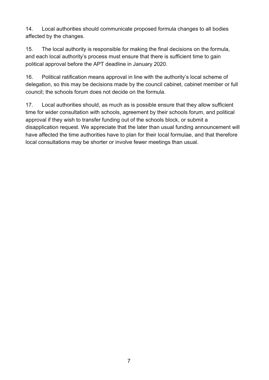14. Local authorities should communicate proposed formula changes to all bodies affected by the changes.

15. The local authority is responsible for making the final decisions on the formula, and each local authority's process must ensure that there is sufficient time to gain political approval before the APT deadline in January 2020.

16. Political ratification means approval in line with the authority's local scheme of delegation, so this may be decisions made by the council cabinet, cabinet member or full council; the schools forum does not decide on the formula.

17. Local authorities should, as much as is possible ensure that they allow sufficient time for wider consultation with schools, agreement by their schools forum, and political approval if they wish to transfer funding out of the schools block, or submit a disapplication request. We appreciate that the later than usual funding announcement will have affected the time authorities have to plan for their local formulae, and that therefore local consultations may be shorter or involve fewer meetings than usual.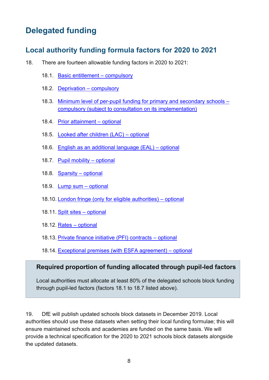# <span id="page-7-0"></span>**Delegated funding**

## <span id="page-7-1"></span>**Local authority funding formula factors for 2020 to 2021**

- 18. There are fourteen allowable funding factors in 2020 to 2021:
	- 18.1. [Basic entitlement](#page-8-0)  compulsory
	- 18.2. [Deprivation](#page-8-1)  compulsory
	- 18.3. [Minimum level of per-pupil funding for primary and secondary](#page-9-0) schools [compulsory \(subject to consultation on its implementation\)](#page-9-0)
	- 18.4. [Prior attainment](#page-10-0)  optional
	- 18.5. [Looked after children \(LAC\)](#page-11-0)  optional
	- 18.6. English [as an additional language \(EAL\)](#page-11-1)  optional
	- 18.7. [Pupil mobility](#page-12-0)  optional
	- 18.8. [Sparsity](#page-12-1)  optional
	- 18.9. [Lump sum](#page-16-0)  optional
	- 18.10. London fringe (only [for eligible authorities\)](#page-17-0)  optional
	- 18.11. [Split sites](#page-18-0)  optional
	- 18.12. Rates [optional](#page-18-1)
	- 18.13. [Private finance initiative \(PFI\) contracts](#page-19-0)  optional
	- 18.14. [Exceptional premises \(with ESFA agreement\)](#page-20-0)  optional

#### **Required proportion of funding allocated through pupil-led factors**

Local authorities must allocate at least 80% of the delegated schools block funding through pupil-led factors (factors 18.1 to 18.7 listed above).

19. DfE will publish updated schools block datasets in December 2019. Local authorities should use these datasets when setting their local funding formulae; this will ensure maintained schools and academies are funded on the same basis. We will provide a technical specification for the 2020 to 2021 schools block datasets alongside the updated datasets.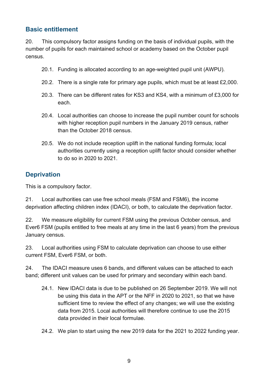## <span id="page-8-0"></span>**Basic entitlement**

20. This compulsory factor assigns funding on the basis of individual pupils, with the number of pupils for each maintained school or academy based on the October pupil census.

- 20.1. Funding is allocated according to an age-weighted pupil unit (AWPU).
- 20.2. There is a single rate for primary age pupils, which must be at least £2,000.
- 20.3. There can be different rates for KS3 and KS4, with a minimum of £3,000 for each.
- 20.4. Local authorities can choose to increase the pupil number count for schools with higher reception pupil numbers in the January 2019 census, rather than the October 2018 census.
- <span id="page-8-1"></span>20.5. We do not include reception uplift in the national funding formula; local authorities currently using a reception uplift factor should consider whether to do so in 2020 to 2021.

## **Deprivation**

This is a compulsory factor.

21. Local authorities can use free school meals (FSM and FSM6), the income deprivation affecting children index (IDACI), or both, to calculate the deprivation factor.

22. We measure eligibility for current FSM using the previous October census, and Ever6 FSM (pupils entitled to free meals at any time in the last 6 years) from the previous January census.

23. Local authorities using FSM to calculate deprivation can choose to use either current FSM, Ever6 FSM, or both.

24. The IDACI measure uses 6 bands, and different values can be attached to each band; different unit values can be used for primary and secondary within each band.

- 24.1. New IDACI data is due to be published on 26 September 2019. We will not be using this data in the APT or the NFF in 2020 to 2021, so that we have sufficient time to review the effect of any changes; we will use the existing data from 2015. Local authorities will therefore continue to use the 2015 data provided in their local formulae.
- 24.2. We plan to start using the new 2019 data for the 2021 to 2022 funding year.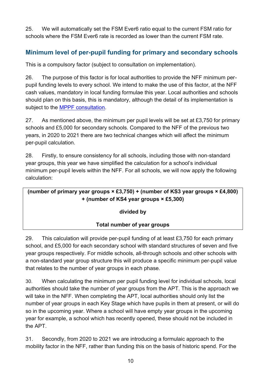25. We will automatically set the FSM Ever6 ratio equal to the current FSM ratio for schools where the FSM Ever6 rate is recorded as lower than the current FSM rate.

## <span id="page-9-0"></span>**Minimum level of per-pupil funding for primary and secondary schools**

This is a compulsory factor (subject to consultation on implementation).

26. The purpose of this factor is for local authorities to provide the NFF minimum perpupil funding levels to every school. We intend to make the use of this factor, at the NFF cash values, mandatory in local funding formulae this year. Local authorities and schools should plan on this basis, this is mandatory, although the detail of its implementation is subject to the [MPPF consultation.](https://www.gov.uk/government/consultations/implementing-mandatory-minimum-per-pupil-funding-levels)

27. As mentioned above, the minimum per pupil levels will be set at £3,750 for primary schools and £5,000 for secondary schools. Compared to the NFF of the previous two years, in 2020 to 2021 there are two technical changes which will affect the minimum per-pupil calculation.

28. Firstly, to ensure consistency for all schools, including those with non-standard year groups, this year we have simplified the calculation for a school's individual minimum per-pupil levels within the NFF. For all schools, we will now apply the following calculation:

#### **(number of primary year groups × £3,750) + (number of KS3 year groups × £4,800) + (number of KS4 year groups × £5,300)**

#### **divided by**

#### **Total number of year groups**

29. This calculation will provide per-pupil funding of at least  $£3,750$  for each primary school, and £5,000 for each secondary school with standard structures of seven and five year groups respectively. For middle schools, all-through schools and other schools with a non-standard year group structure this will produce a specific minimum per-pupil value that relates to the number of year groups in each phase.

30. When calculating the minimum per pupil funding level for individual schools, local authorities should take the number of year groups from the APT. This is the approach we will take in the NFF. When completing the APT, local authorities should only list the number of year groups in each Key Stage which have pupils in them at present, or will do so in the upcoming year. Where a school will have empty year groups in the upcoming year for example, a school which has recently opened, these should not be included in the APT.

31. Secondly, from 2020 to 2021 we are introducing a formulaic approach to the mobility factor in the NFF, rather than funding this on the basis of historic spend. For the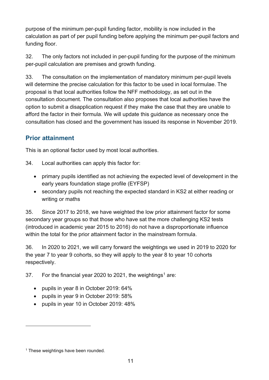purpose of the minimum per-pupil funding factor, mobility is now included in the calculation as part of per pupil funding before applying the minimum per-pupil factors and funding floor.

32. The only factors not included in per-pupil funding for the purpose of the minimum per-pupil calculation are premises and growth funding.

33. The consultation on the implementation of mandatory minimum per-pupil levels will determine the precise calculation for this factor to be used in local formulae. The proposal is that local authorities follow the NFF methodology, as set out in the consultation document. The consultation also proposes that local authorities have the option to submit a disapplication request if they make the case that they are unable to afford the factor in their formula. We will update this guidance as necessary once the consultation has closed and the government has issued its response in November 2019.

## <span id="page-10-0"></span>**Prior attainment**

This is an optional factor used by most local authorities.

- 34. Local authorities can apply this factor for:
	- primary pupils identified as not achieving the expected level of development in the early years foundation stage profile (EYFSP)
	- secondary pupils not reaching the expected standard in KS2 at either reading or writing or maths

35. Since 2017 to 2018, we have weighted the low prior attainment factor for some secondary year groups so that those who have sat the more challenging KS2 tests (introduced in academic year 2015 to 2016) do not have a disproportionate influence within the total for the prior attainment factor in the mainstream formula.

36. In 2020 to 2021, we will carry forward the weightings we used in 2019 to 2020 for the year 7 to year 9 cohorts, so they will apply to the year 8 to year 10 cohorts respectively.

37. For the financial year 2020 to 2021, the weightings<sup>1</sup> are:

- pupils in year 8 in October 2019: 64%
- pupils in year 9 in October 2019: 58%
- pupils in year 10 in October 2019: 48%

<sup>&</sup>lt;sup>1</sup> These weightings have been rounded.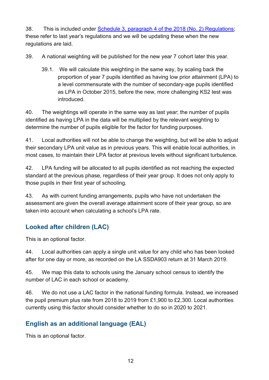38. This is included under [Schedule 3, paragraph 4 of the 2018 \(No. 2\) Regulations;](http://www.legislation.gov.uk/uksi/2018/1185/contents/made) these refer to last year's regulations and we will be updating these when the new regulations are laid.

39. A national weighting will be published for the new year 7 cohort later this year.

39.1. We will calculate this weighting in the same way, by scaling back the proportion of year 7 pupils identified as having low prior attainment (LPA) to a level commensurate with the number of secondary-age pupils identified as LPA in October 2015, before the new, more challenging KS2 test was introduced.

40. The weightings will operate in the same way as last year; the number of pupils identified as having LPA in the data will be multiplied by the relevant weighting to determine the number of pupils eligible for the factor for funding purposes.

41. Local authorities will not be able to change the weighting, but will be able to adjust their secondary LPA unit value as in previous years. This will enable local authorities, in most cases, to maintain their LPA factor at previous levels without significant turbulence.

42. LPA funding will be allocated to all pupils identified as not reaching the expected standard at the previous phase, regardless of their year group. It does not only apply to those pupils in their first year of schooling.

43. As with current funding arrangements, pupils who have not undertaken the assessment are given the overall average attainment score of their year group, so are taken into account when calculating a school's LPA rate.

## <span id="page-11-0"></span>**Looked after children (LAC)**

This is an optional factor.

44. Local authorities can apply a single unit value for any child who has been looked after for one day or more, as recorded on the LA SSDA903 return at 31 March 2019.

45. We map this data to schools using the January school census to identify the number of LAC in each school or academy.

46. We do not use a LAC factor in the national funding formula. Instead, we increased the pupil premium plus rate from 2018 to 2019 from £1,900 to £2,300. Local authorities currently using this factor should consider whether to do so in 2020 to 2021.

## <span id="page-11-1"></span>**English as an additional language (EAL)**

This is an optional factor.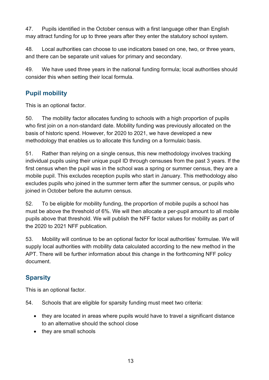47. Pupils identified in the October census with a first language other than English may attract funding for up to three years after they enter the statutory school system.

48. Local authorities can choose to use indicators based on one, two, or three years, and there can be separate unit values for primary and secondary.

49. We have used three years in the national funding formula; local authorities should consider this when setting their local formula.

## <span id="page-12-0"></span>**Pupil mobility**

This is an optional factor.

50. The mobility factor allocates funding to schools with a high proportion of pupils who first join on a non-standard date. Mobility funding was previously allocated on the basis of historic spend. However, for 2020 to 2021, we have developed a new methodology that enables us to allocate this funding on a formulaic basis.

51. Rather than relying on a single census, this new methodology involves tracking individual pupils using their unique pupil ID through censuses from the past 3 years. If the first census when the pupil was in the school was a spring or summer census, they are a mobile pupil. This excludes reception pupils who start in January. This methodology also excludes pupils who joined in the summer term after the summer census, or pupils who joined in October before the autumn census.

52. To be eligible for mobility funding, the proportion of mobile pupils a school has must be above the threshold of 6%. We will then allocate a per-pupil amount to all mobile pupils above that threshold. We will publish the NFF factor values for mobility as part of the 2020 to 2021 NFF publication.

53. Mobility will continue to be an optional factor for local authorities' formulae. We will supply local authorities with mobility data calculated according to the new method in the APT. There will be further information about this change in the forthcoming NFF policy document.

## <span id="page-12-1"></span>**Sparsity**

This is an optional factor.

- 54. Schools that are eligible for sparsity funding must meet two criteria:
	- they are located in areas where pupils would have to travel a significant distance to an alternative should the school close
	- they are small schools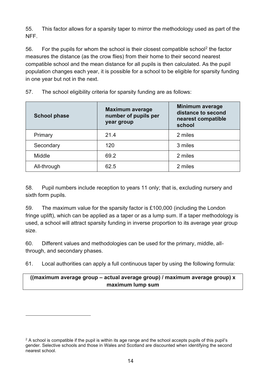55. This factor allows for a sparsity taper to mirror the methodology used as part of the NFF.

56. For the pupils for whom the school is their closest compatible school<sup>2</sup> the factor measures the distance (as the crow flies) from their home to their second nearest compatible school and the mean distance for all pupils is then calculated. As the pupil population changes each year, it is possible for a school to be eligible for sparsity funding in one year but not in the next.

| <b>School phase</b> | <b>Maximum average</b><br>number of pupils per<br>year group | <b>Minimum average</b><br>distance to second<br>nearest compatible<br>school |
|---------------------|--------------------------------------------------------------|------------------------------------------------------------------------------|
| Primary             | 21.4                                                         | 2 miles                                                                      |
| Secondary           | 120                                                          | 3 miles                                                                      |
| Middle              | 69.2                                                         | 2 miles                                                                      |
| All-through         | 62.5                                                         | 2 miles                                                                      |

57. The school eligibility criteria for sparsity funding are as follows:

58. Pupil numbers include reception to years 11 only; that is, excluding nursery and sixth form pupils.

59. The maximum value for the sparsity factor is £100,000 (including the London fringe uplift), which can be applied as a taper or as a lump sum. If a taper methodology is used, a school will attract sparsity funding in inverse proportion to its average year group size.

60. Different values and methodologies can be used for the primary, middle, allthrough, and secondary phases.

61. Local authorities can apply a full continuous taper by using the following formula:

#### **((maximum average group – actual average group) / maximum average group) x maximum lump sum**

<sup>&</sup>lt;sup>2</sup> A school is compatible if the pupil is within its age range and the school accepts pupils of this pupil's gender. Selective schools and those in Wales and Scotland are discounted when identifying the second nearest school.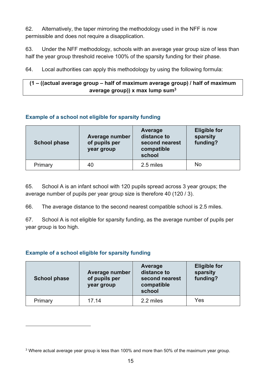62. Alternatively, the taper mirroring the methodology used in the NFF is now permissible and does not require a disapplication.

63. Under the NFF methodology, schools with an average year group size of less than half the year group threshold receive 100% of the sparsity funding for their phase.

64. Local authorities can apply this methodology by using the following formula:

#### **(1 – ((actual average group – half of maximum average group) / half of maximum average group)) x max lump sum<sup>3</sup>**

#### **Example of a school not eligible for sparsity funding**

| <b>School phase</b> | Average number<br>of pupils per<br>year group | Average<br>distance to<br>second nearest<br>compatible<br>school | <b>Eligible for</b><br>sparsity<br>funding? |
|---------------------|-----------------------------------------------|------------------------------------------------------------------|---------------------------------------------|
| Primary             | 40                                            | 2.5 miles                                                        | <b>No</b>                                   |

65. School A is an infant school with 120 pupils spread across 3 year groups; the average number of pupils per year group size is therefore 40 (120 / 3).

66. The average distance to the second nearest compatible school is 2.5 miles.

67. School A is not eligible for sparsity funding, as the average number of pupils per year group is too high.

#### **Example of a school eligible for sparsity funding**

| <b>School phase</b> | Average number<br>of pupils per<br>year group | Average<br>distance to<br>second nearest<br>compatible<br>school | <b>Eligible for</b><br>sparsity<br>funding? |
|---------------------|-----------------------------------------------|------------------------------------------------------------------|---------------------------------------------|
| Primary             | 17.14                                         | 2.2 miles                                                        | Yes                                         |

<sup>3</sup> Where actual average year group is less than 100% and more than 50% of the maximum year group.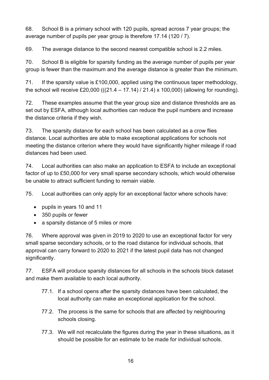68. School B is a primary school with 120 pupils, spread across 7 year groups; the average number of pupils per year group is therefore 17.14 (120 / 7).

69. The average distance to the second nearest compatible school is 2.2 miles.

70. School B is eligible for sparsity funding as the average number of pupils per year group is fewer than the maximum and the average distance is greater than the minimum.

71. If the sparsity value is £100,000, applied using the continuous taper methodology, the school will receive £20,000 (((21.4 – 17.14) / 21.4) x 100,000) (allowing for rounding).

72. These examples assume that the year group size and distance thresholds are as set out by ESFA, although local authorities can reduce the pupil numbers and increase the distance criteria if they wish.

73. The sparsity distance for each school has been calculated as a crow flies distance. Local authorities are able to make exceptional applications for schools not meeting the distance criterion where they would have significantly higher mileage if road distances had been used.

74. Local authorities can also make an application to ESFA to include an exceptional factor of up to £50,000 for very small sparse secondary schools, which would otherwise be unable to attract sufficient funding to remain viable.

75. Local authorities can only apply for an exceptional factor where schools have:

- pupils in years 10 and 11
- 350 pupils or fewer
- a sparsity distance of 5 miles or more

76. Where approval was given in 2019 to 2020 to use an exceptional factor for very small sparse secondary schools, or to the road distance for individual schools, that approval can carry forward to 2020 to 2021 if the latest pupil data has not changed significantly.

77. ESFA will produce sparsity distances for all schools in the schools block dataset and make them available to each local authority.

- 77.1. If a school opens after the sparsity distances have been calculated, the local authority can make an exceptional application for the school.
- 77.2. The process is the same for schools that are affected by neighbouring schools closing.
- 77.3. We will not recalculate the figures during the year in these situations, as it should be possible for an estimate to be made for individual schools.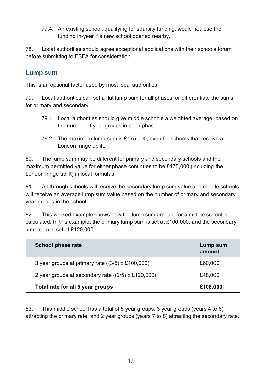77.4. An existing school, qualifying for sparsity funding, would not lose the funding in-year if a new school opened nearby.

78. Local authorities should agree exceptional applications with their schools forum before submitting to ESFA for consideration.

#### <span id="page-16-0"></span>**Lump sum**

This is an optional factor used by most local authorities.

79. Local authorities can set a flat lump sum for all phases, or differentiate the sums for primary and secondary.

- 79.1. Local authorities should give middle schools a weighted average, based on the number of year groups in each phase.
- 79.2. The maximum lump sum is £175,000, even for schools that receive a London fringe uplift.

80. The lump sum may be different for primary and secondary schools and the maximum permitted value for either phase continues to be £175,000 (including the London fringe uplift) in local formulas.

81. All-through schools will receive the secondary lump sum value and middle schools will receive an average lump sum value based on the number of primary and secondary year groups in the school.

82. This worked example shows how the lump sum amount for a middle school is calculated. In this example, the primary lump sum is set at £100,000, and the secondary lump sum is set at £120,000.

| <b>School phase rate</b>                           | Lump sum<br>amount |
|----------------------------------------------------|--------------------|
| 3 year groups at primary rate ((3/5) x £100,000)   | £60,000            |
| 2 year groups at secondary rate ((2/5) x £120,000) | £48,000            |
| Total rate for all 5 year groups                   | £108,000           |

83. This middle school has a total of 5 year groups; 3 year groups (years 4 to 6) attracting the primary rate, and 2 year groups (years 7 to 8) attracting the secondary rate.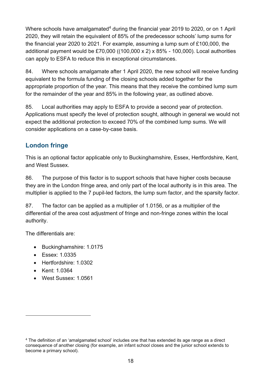Where schools have amalgamated<sup>4</sup> during the financial year 2019 to 2020, or on 1 April 2020, they will retain the equivalent of 85% of the predecessor schools' lump sums for the financial year 2020 to 2021. For example, assuming a lump sum of £100,000, the additional payment would be £70,000 ((100,000 x 2) x 85% - 100,000). Local authorities can apply to ESFA to reduce this in exceptional circumstances.

84. Where schools amalgamate after 1 April 2020, the new school will receive funding equivalent to the formula funding of the closing schools added together for the appropriate proportion of the year. This means that they receive the combined lump sum for the remainder of the year and 85% in the following year, as outlined above.

85. Local authorities may apply to ESFA to provide a second year of protection. Applications must specify the level of protection sought, although in general we would not expect the additional protection to exceed 70% of the combined lump sums. We will consider applications on a case-by-case basis.

## <span id="page-17-0"></span>**London fringe**

This is an optional factor applicable only to Buckinghamshire, Essex, Hertfordshire, Kent, and West Sussex.

86. The purpose of this factor is to support schools that have higher costs because they are in the London fringe area, and only part of the local authority is in this area. The multiplier is applied to the 7 pupil-led factors, the lump sum factor, and the sparsity factor.

87. The factor can be applied as a multiplier of 1.0156, or as a multiplier of the differential of the area cost adjustment of fringe and non-fringe zones within the local authority.

The differentials are:

- Buckinghamshire: 1.0175
- Essex: 1.0335
- Hertfordshire: 1.0302
- Kent: 1.0364
- West Sussex: 1.0561

<sup>4</sup> The definition of an 'amalgamated school' includes one that has extended its age range as a direct consequence of another closing (for example, an infant school closes and the junior school extends to become a primary school).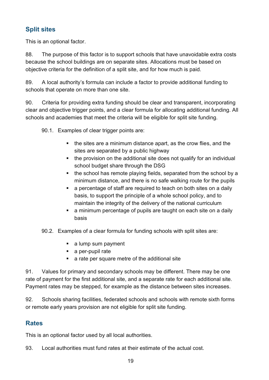## <span id="page-18-0"></span>**Split sites**

This is an optional factor.

88. The purpose of this factor is to support schools that have unavoidable extra costs because the school buildings are on separate sites. Allocations must be based on objective criteria for the definition of a split site, and for how much is paid.

89. A local authority's formula can include a factor to provide additional funding to schools that operate on more than one site.

90. Criteria for providing extra funding should be clear and transparent, incorporating clear and objective trigger points, and a clear formula for allocating additional funding. All schools and academies that meet the criteria will be eligible for split site funding.

90.1. Examples of clear trigger points are:

- the sites are a minimum distance apart, as the crow flies, and the sites are separated by a public highway
- the provision on the additional site does not qualify for an individual school budget share through the DSG
- the school has remote playing fields, separated from the school by a minimum distance, and there is no safe walking route for the pupils
- a percentage of staff are required to teach on both sites on a daily basis, to support the principle of a whole school policy, and to maintain the integrity of the delivery of the national curriculum
- a minimum percentage of pupils are taught on each site on a daily basis
- 90.2. Examples of a clear formula for funding schools with split sites are:
	- a lump sum payment
	- a per-pupil rate
	- a rate per square metre of the additional site

91. Values for primary and secondary schools may be different. There may be one rate of payment for the first additional site, and a separate rate for each additional site. Payment rates may be stepped, for example as the distance between sites increases.

92. Schools sharing facilities, federated schools and schools with remote sixth forms or remote early years provision are not eligible for split site funding.

## <span id="page-18-1"></span>**Rates**

This is an optional factor used by all local authorities.

93. Local authorities must fund rates at their estimate of the actual cost.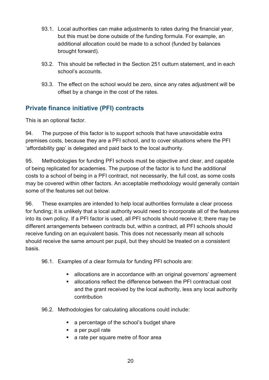- 93.1. Local authorities can make adjustments to rates during the financial year, but this must be done outside of the funding formula. For example, an additional allocation could be made to a school (funded by balances brought forward).
- 93.2. This should be reflected in the Section 251 outturn statement, and in each school's accounts.
- 93.3. The effect on the school would be zero, since any rates adjustment will be offset by a change in the cost of the rates.

## <span id="page-19-0"></span>**Private finance initiative (PFI) contracts**

This is an optional factor.

94. The purpose of this factor is to support schools that have unavoidable extra premises costs, because they are a PFI school, and to cover situations where the PFI 'affordability gap' is delegated and paid back to the local authority.

95. Methodologies for funding PFI schools must be objective and clear, and capable of being replicated for academies. The purpose of the factor is to fund the additional costs to a school of being in a PFI contract, not necessarily, the full cost, as some costs may be covered within other factors. An acceptable methodology would generally contain some of the features set out below.

96. These examples are intended to help local authorities formulate a clear process for funding; it is unlikely that a local authority would need to incorporate all of the features into its own policy. If a PFI factor is used, all PFI schools should receive it; there may be different arrangements between contracts but, within a contract, all PFI schools should receive funding on an equivalent basis. This does not necessarily mean all schools should receive the same amount per pupil, but they should be treated on a consistent basis.

96.1. Examples of a clear formula for funding PFI schools are:

- allocations are in accordance with an original governors' agreement
- allocations reflect the difference between the PFI contractual cost and the grant received by the local authority, less any local authority contribution
- 96.2. Methodologies for calculating allocations could include:
	- a percentage of the school's budget share
	- a per pupil rate
	- a rate per square metre of floor area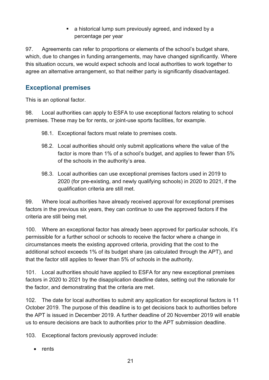■ a historical lump sum previously agreed, and indexed by a percentage per year

97. Agreements can refer to proportions or elements of the school's budget share, which, due to changes in funding arrangements, may have changed significantly. Where this situation occurs, we would expect schools and local authorities to work together to agree an alternative arrangement, so that neither party is significantly disadvantaged.

## <span id="page-20-0"></span>**Exceptional premises**

This is an optional factor.

98. Local authorities can apply to ESFA to use exceptional factors relating to school premises. These may be for rents, or joint-use sports facilities, for example.

- 98.1. Exceptional factors must relate to premises costs.
- 98.2. Local authorities should only submit applications where the value of the factor is more than 1% of a school's budget, and applies to fewer than 5% of the schools in the authority's area.
- 98.3. Local authorities can use exceptional premises factors used in 2019 to 2020 (for pre-existing, and newly qualifying schools) in 2020 to 2021, if the qualification criteria are still met.

99. Where local authorities have already received approval for exceptional premises factors in the previous six years, they can continue to use the approved factors if the criteria are still being met.

100. Where an exceptional factor has already been approved for particular schools, it's permissible for a further school or schools to receive the factor where a change in circumstances meets the existing approved criteria, providing that the cost to the additional school exceeds 1% of its budget share (as calculated through the APT), and that the factor still applies to fewer than 5% of schools in the authority.

101. Local authorities should have applied to ESFA for any new exceptional premises factors in 2020 to 2021 by the disapplication deadline dates, setting out the rationale for the factor, and demonstrating that the criteria are met.

102. The date for local authorities to submit any application for exceptional factors is 11 October 2019. The purpose of this deadline is to get decisions back to authorities before the APT is issued in December 2019. A further deadline of 20 November 2019 will enable us to ensure decisions are back to authorities prior to the APT submission deadline.

103. Exceptional factors previously approved include:

• rents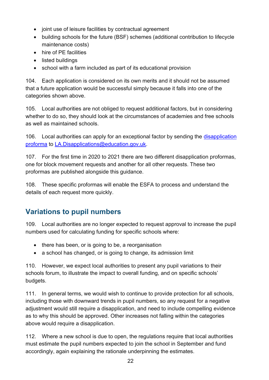- joint use of leisure facilities by contractual agreement
- building schools for the future (BSF) schemes (additional contribution to lifecycle maintenance costs)
- hire of PF facilities
- listed buildings
- school with a farm included as part of its educational provision

104. Each application is considered on its own merits and it should not be assumed that a future application would be successful simply because it falls into one of the categories shown above.

105. Local authorities are not obliged to request additional factors, but in considering whether to do so, they should look at the circumstances of academies and free schools as well as maintained schools.

106. Local authorities can apply for an exceptional factor by sending the disapplication [proforma](https://www.gov.uk/government/publications/pre-16-schools-funding-local-authority-guidance-for-2020-to-2021) to [LA.Disapplications@education.gov.uk.](mailto:LA.Disapplications@education.gov.uk)

107. For the first time in 2020 to 2021 there are two different disapplication proformas, one for block movement requests and another for all other requests. These two proformas are published alongside this guidance.

108. These specific proformas will enable the ESFA to process and understand the details of each request more quickly.

# <span id="page-21-0"></span>**Variations to pupil numbers**

109. Local authorities are no longer expected to request approval to increase the pupil numbers used for calculating funding for specific schools where:

- there has been, or is going to be, a reorganisation
- a school has changed, or is going to change, its admission limit

110. However, we expect local authorities to present any pupil variations to their schools forum, to illustrate the impact to overall funding, and on specific schools' budgets.

111. In general terms, we would wish to continue to provide protection for all schools, including those with downward trends in pupil numbers, so any request for a negative adjustment would still require a disapplication, and need to include compelling evidence as to why this should be approved. Other increases not falling within the categories above would require a disapplication.

112. Where a new school is due to open, the regulations require that local authorities must estimate the pupil numbers expected to join the school in September and fund accordingly, again explaining the rationale underpinning the estimates.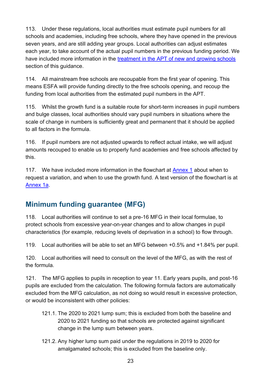113. Under these regulations, local authorities must estimate pupil numbers for all schools and academies, including free schools, where they have opened in the previous seven years, and are still adding year groups. Local authorities can adjust estimates each year, to take account of the actual pupil numbers in the previous funding period. We have included more information in the [treatment in the APT of new and growing schools](#page-49-0) section of this guidance.

114. All mainstream free schools are recoupable from the first year of opening. This means ESFA will provide funding directly to the free schools opening, and recoup the funding from local authorities from the estimated pupil numbers in the APT.

115. Whilst the growth fund is a suitable route for short-term increases in pupil numbers and bulge classes, local authorities should vary pupil numbers in situations where the scale of change in numbers is sufficiently great and permanent that it should be applied to all factors in the formula.

116. If pupil numbers are not adjusted upwards to reflect actual intake, we will adjust amounts recouped to enable us to properly fund academies and free schools affected by this.

117. We have included more information in the flowchart at [Annex 1](#page-57-0) about when to request a variation, and when to use the growth fund. A text version of the flowchart is at [Annex 1a.](#page-57-1)

## <span id="page-22-0"></span>**Minimum funding guarantee (MFG)**

118. Local authorities will continue to set a pre-16 MFG in their local formulae, to protect schools from excessive year-on-year changes and to allow changes in pupil characteristics (for example, reducing levels of deprivation in a school) to flow through.

119. Local authorities will be able to set an MFG between +0.5% and +1.84% per pupil.

120. Local authorities will need to consult on the level of the MFG, as with the rest of the formula.

121. The MFG applies to pupils in reception to year 11. Early years pupils, and post-16 pupils are excluded from the calculation. The following formula factors are automatically excluded from the MFG calculation, as not doing so would result in excessive protection, or would be inconsistent with other policies:

- 121.1. The 2020 to 2021 lump sum; this is excluded from both the baseline and 2020 to 2021 funding so that schools are protected against significant change in the lump sum between years.
- 121.2. Any higher lump sum paid under the regulations in 2019 to 2020 for amalgamated schools; this is excluded from the baseline only.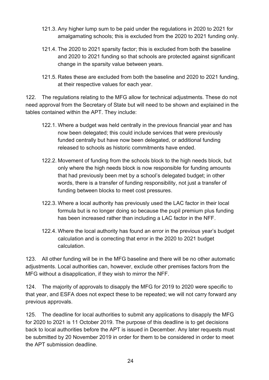- 121.3. Any higher lump sum to be paid under the regulations in 2020 to 2021 for amalgamating schools; this is excluded from the 2020 to 2021 funding only.
- 121.4. The 2020 to 2021 sparsity factor; this is excluded from both the baseline and 2020 to 2021 funding so that schools are protected against significant change in the sparsity value between years.
- 121.5. Rates these are excluded from both the baseline and 2020 to 2021 funding, at their respective values for each year.

122. The regulations relating to the MFG allow for technical adjustments. These do not need approval from the Secretary of State but will need to be shown and explained in the tables contained within the APT. They include:

- 122.1. Where a budget was held centrally in the previous financial year and has now been delegated; this could include services that were previously funded centrally but have now been delegated, or additional funding released to schools as historic commitments have ended.
- 122.2. Movement of funding from the schools block to the high needs block, but only where the high needs block is now responsible for funding amounts that had previously been met by a school's delegated budget; in other words, there is a transfer of funding responsibility, not just a transfer of funding between blocks to meet cost pressures.
- 122.3. Where a local authority has previously used the LAC factor in their local formula but is no longer doing so because the pupil premium plus funding has been increased rather than including a LAC factor in the NFF.
- 122.4. Where the local authority has found an error in the previous year's budget calculation and is correcting that error in the 2020 to 2021 budget calculation.

123. All other funding will be in the MFG baseline and there will be no other automatic adjustments. Local authorities can, however, exclude other premises factors from the MFG without a disapplication, if they wish to mirror the NFF.

124. The majority of approvals to disapply the MFG for 2019 to 2020 were specific to that year, and ESFA does not expect these to be repeated; we will not carry forward any previous approvals.

125. The deadline for local authorities to submit any applications to disapply the MFG for 2020 to 2021 is 11 October 2019. The purpose of this deadline is to get decisions back to local authorities before the APT is issued in December. Any later requests must be submitted by 20 November 2019 in order for them to be considered in order to meet the APT submission deadline.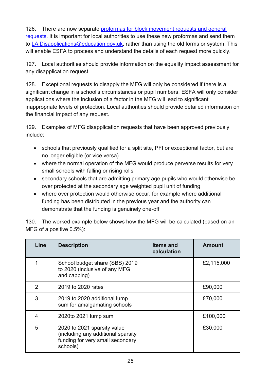126. There are now separate [proformas for block movement requests and general](https://www.gov.uk/government/publications/pre-16-schools-funding-local-authority-guidance-for-2020-to-2021)  [requests.](https://www.gov.uk/government/publications/pre-16-schools-funding-local-authority-guidance-for-2020-to-2021) It is important for local authorities to use these new proformas and send them to [LA.Disapplications@education.gov.uk,](mailto:LA.Disapplications@education.gov.uk) rather than using the old forms or system. This will enable ESFA to process and understand the details of each request more quickly.

127. Local authorities should provide information on the equality impact assessment for any disapplication request.

128. Exceptional requests to disapply the MFG will only be considered if there is a significant change in a school's circumstances or pupil numbers. ESFA will only consider applications where the inclusion of a factor in the MFG will lead to significant inappropriate levels of protection. Local authorities should provide detailed information on the financial impact of any request.

129. Examples of MFG disapplication requests that have been approved previously include:

- schools that previously qualified for a split site, PFI or exceptional factor, but are no longer eligible (or vice versa)
- where the normal operation of the MFG would produce perverse results for very small schools with falling or rising rolls
- secondary schools that are admitting primary age pupils who would otherwise be over protected at the secondary age weighted pupil unit of funding
- where over protection would otherwise occur, for example where additional funding has been distributed in the previous year and the authority can demonstrate that the funding is genuinely one-off

130. The worked example below shows how the MFG will be calculated (based on an MFG of a positive 0.5%):

| Line          | <b>Description</b>                                                                                                | <b>Items and</b><br>calculation | <b>Amount</b> |
|---------------|-------------------------------------------------------------------------------------------------------------------|---------------------------------|---------------|
|               | School budget share (SBS) 2019<br>to 2020 (inclusive of any MFG<br>and capping)                                   |                                 | £2,115,000    |
| $\mathcal{P}$ | 2019 to 2020 rates                                                                                                |                                 | £90,000       |
| 3             | 2019 to 2020 additional lump<br>sum for amalgamating schools                                                      |                                 | £70,000       |
| 4             | 2020to 2021 lump sum                                                                                              |                                 | £100,000      |
| 5             | 2020 to 2021 sparsity value<br>(including any additional sparsity<br>funding for very small secondary<br>schools) |                                 | £30,000       |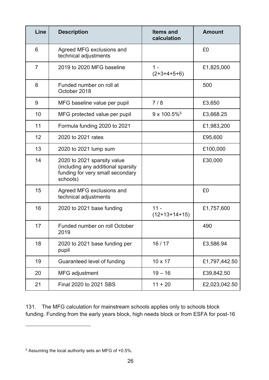| Line           | <b>Description</b>                                                                                                | <b>Items and</b><br>calculation | <b>Amount</b> |
|----------------|-------------------------------------------------------------------------------------------------------------------|---------------------------------|---------------|
| 6              | Agreed MFG exclusions and<br>technical adjustments                                                                |                                 | £0            |
| $\overline{7}$ | 2019 to 2020 MFG baseline                                                                                         | 1 -<br>$(2+3+4+5+6)$            | £1,825,000    |
| 8              | Funded number on roll at<br>October 2018                                                                          |                                 | 500           |
| 9              | MFG baseline value per pupil                                                                                      | 7/8                             | £3,650        |
| 10             | MFG protected value per pupil                                                                                     | $9 \times 100.5\%$ <sup>5</sup> | £3,668.25     |
| 11             | Formula funding 2020 to 2021                                                                                      |                                 | £1,983,200    |
| 12             | 2020 to 2021 rates                                                                                                |                                 | £95,600       |
| 13             | 2020 to 2021 lump sum                                                                                             |                                 | £100,000      |
| 14             | 2020 to 2021 sparsity value<br>(including any additional sparsity<br>funding for very small secondary<br>schools) |                                 | £30,000       |
| 15             | Agreed MFG exclusions and<br>technical adjustments                                                                |                                 | £0            |
| 16             | 2020 to 2021 base funding                                                                                         | $11 -$<br>$(12+13+14+15)$       | £1,757,600    |
| 17             | Funded number on roll October<br>2019                                                                             |                                 | 490           |
| 18             | 2020 to 2021 base funding per<br>pupil                                                                            | 16/17                           | £3,586.94     |
| 19             | Guaranteed level of funding                                                                                       | 10 x 17                         | £1,797,442.50 |
| 20             | <b>MFG</b> adjustment                                                                                             | $19 - 16$                       | £39,842.50    |
| 21             | Final 2020 to 2021 SBS                                                                                            | $11 + 20$                       | £2,023,042.50 |

131. The MFG calculation for mainstream schools applies only to schools block funding. Funding from the early years block, high needs block or from ESFA for post-16

<sup>5</sup> Assuming the local authority sets an MFG of +0.5%.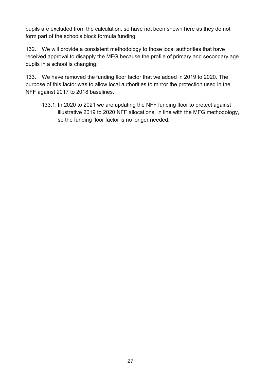pupils are excluded from the calculation, so have not been shown here as they do not form part of the schools block formula funding.

132. We will provide a consistent methodology to those local authorities that have received approval to disapply the MFG because the profile of primary and secondary age pupils in a school is changing.

133. We have removed the funding floor factor that we added in 2019 to 2020. The purpose of this factor was to allow local authorities to mirror the protection used in the NFF against 2017 to 2018 baselines.

133.1. In 2020 to 2021 we are updating the NFF funding floor to protect against illustrative 2019 to 2020 NFF allocations, in line with the MFG methodology, so the funding floor factor is no longer needed.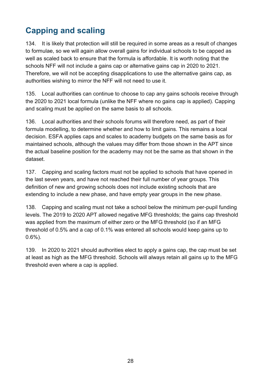# <span id="page-27-0"></span>**Capping and scaling**

134. It is likely that protection will still be required in some areas as a result of changes to formulae, so we will again allow overall gains for individual schools to be capped as well as scaled back to ensure that the formula is affordable. It is worth noting that the schools NFF will not include a gains cap or alternative gains cap in 2020 to 2021. Therefore, we will not be accepting disapplications to use the alternative gains cap, as authorities wishing to mirror the NFF will not need to use it.

135. Local authorities can continue to choose to cap any gains schools receive through the 2020 to 2021 local formula (unlike the NFF where no gains cap is applied). Capping and scaling must be applied on the same basis to all schools.

136. Local authorities and their schools forums will therefore need, as part of their formula modelling, to determine whether and how to limit gains. This remains a local decision. ESFA applies caps and scales to academy budgets on the same basis as for maintained schools, although the values may differ from those shown in the APT since the actual baseline position for the academy may not be the same as that shown in the dataset.

137. Capping and scaling factors must not be applied to schools that have opened in the last seven years, and have not reached their full number of year groups. This definition of new and growing schools does not include existing schools that are extending to include a new phase, and have empty year groups in the new phase.

138. Capping and scaling must not take a school below the minimum per-pupil funding levels. The 2019 to 2020 APT allowed negative MFG thresholds; the gains cap threshold was applied from the maximum of either zero or the MFG threshold (so if an MFG threshold of 0.5% and a cap of 0.1% was entered all schools would keep gains up to 0.6%).

139. In 2020 to 2021 should authorities elect to apply a gains cap, the cap must be set at least as high as the MFG threshold. Schools will always retain all gains up to the MFG threshold even where a cap is applied.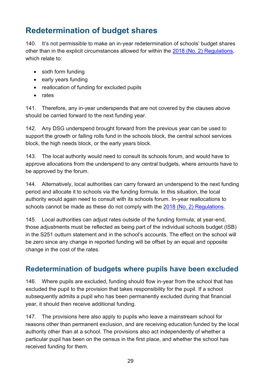# <span id="page-28-0"></span>**Redetermination of budget shares**

140. It's not permissible to make an in-year redetermination of schools' budget shares other than in the explicit circumstances allowed for within the [2018 \(No. 2\) Regulations,](http://www.legislation.gov.uk/uksi/2018/1185/contents/made) which relate to:

- sixth form funding
- early years funding
- reallocation of funding for excluded pupils
- rates

141. Therefore, any in-year underspends that are not covered by the clauses above should be carried forward to the next funding year.

142. Any DSG underspend brought forward from the previous year can be used to support the growth or falling rolls fund in the schools block, the central school services block, the high needs block, or the early years block.

143. The local authority would need to consult its schools forum, and would have to approve allocations from the underspend to any central budgets, where amounts have to be approved by the forum.

144. Alternatively, local authorities can carry forward an underspend to the next funding period and allocate it to schools via the funding formula. In this situation, the local authority would again need to consult with its schools forum. In-year reallocations to schools cannot be made as these do not comply with the [2018 \(No. 2\) Regulations.](http://www.legislation.gov.uk/uksi/2018/1185/contents/made)

145. Local authorities can adjust rates outside of the funding formula; at year-end, those adjustments must be reflected as being part of the individual schools budget (ISB) in the S251 outturn statement and in the school's accounts. The effect on the school will be zero since any change in reported funding will be offset by an equal and opposite change in the cost of the rates.

## <span id="page-28-1"></span>**Redetermination of budgets where pupils have been excluded**

146. Where pupils are excluded, funding should flow in-year from the school that has excluded the pupil to the provision that takes responsibility for the pupil. If a school subsequently admits a pupil who has been permanently excluded during that financial year, it should then receive additional funding.

147. The provisions here also apply to pupils who leave a mainstream school for reasons other than permanent exclusion, and are receiving education funded by the local authority other than at a school. The provisions also act independently of whether a particular pupil has been on the census in the first place, and whether the school has received funding for them.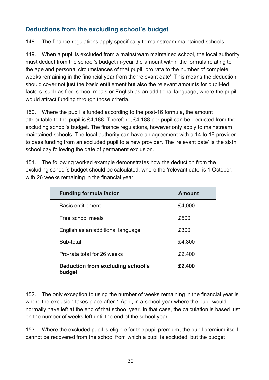## <span id="page-29-0"></span>**Deductions from the excluding school's budget**

148. The finance regulations apply specifically to mainstream maintained schools.

149. When a pupil is excluded from a mainstream maintained school, the local authority must deduct from the school's budget in-year the amount within the formula relating to the age and personal circumstances of that pupil, pro rata to the number of complete weeks remaining in the financial year from the 'relevant date'. This means the deduction should cover not just the basic entitlement but also the relevant amounts for pupil-led factors, such as free school meals or English as an additional language, where the pupil would attract funding through those criteria.

150. Where the pupil is funded according to the post-16 formula, the amount attributable to the pupil is £4,188. Therefore, £4,188 per pupil can be deducted from the excluding school's budget. The finance regulations, however only apply to mainstream maintained schools. The local authority can have an agreement with a 14 to 16 provider to pass funding from an excluded pupil to a new provider. The 'relevant date' is the sixth school day following the date of permanent exclusion.

151. The following worked example demonstrates how the deduction from the excluding school's budget should be calculated, where the 'relevant date' is 1 October, with 26 weeks remaining in the financial year.

| <b>Funding formula factor</b>               | <b>Amount</b> |
|---------------------------------------------|---------------|
| <b>Basic entitlement</b>                    | £4,000        |
| Free school meals                           | £500          |
| English as an additional language           | £300          |
| Sub-total                                   | £4,800        |
| Pro-rata total for 26 weeks                 | £2,400        |
| Deduction from excluding school's<br>budget | £2,400        |

152. The only exception to using the number of weeks remaining in the financial year is where the exclusion takes place after 1 April, in a school year where the pupil would normally have left at the end of that school year. In that case, the calculation is based just on the number of weeks left until the end of the school year.

153. Where the excluded pupil is eligible for the pupil premium, the pupil premium itself cannot be recovered from the school from which a pupil is excluded, but the budget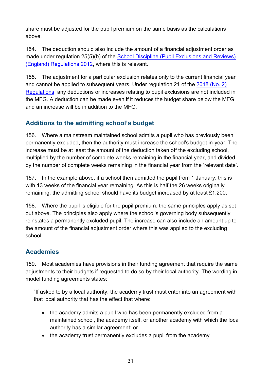share must be adjusted for the pupil premium on the same basis as the calculations above.

154. The deduction should also include the amount of a financial adjustment order as made under regulation 25(5)(b) of the [School Discipline \(Pupil Exclusions and Reviews\)](http://www.legislation.gov.uk/uksi/2012/1033/regulation/25/made)  [\(England\) Regulations 2012,](http://www.legislation.gov.uk/uksi/2012/1033/regulation/25/made) where this is relevant.

155. The adjustment for a particular exclusion relates only to the current financial year and cannot be applied to subsequent years. Under regulation 21 of the [2018 \(No. 2\)](http://www.legislation.gov.uk/uksi/2018/1185/contents/made)  [Regulations,](http://www.legislation.gov.uk/uksi/2018/1185/contents/made) any deductions or increases relating to pupil exclusions are not included in the MFG. A deduction can be made even if it reduces the budget share below the MFG and an increase will be in addition to the MFG.

## **Additions to the admitting school's budget**

156. Where a mainstream maintained school admits a pupil who has previously been permanently excluded, then the authority must increase the school's budget in-year. The increase must be at least the amount of the deduction taken off the excluding school, multiplied by the number of complete weeks remaining in the financial year, and divided by the number of complete weeks remaining in the financial year from the 'relevant date'.

157. In the example above, if a school then admitted the pupil from 1 January, this is with 13 weeks of the financial year remaining. As this is half the 26 weeks originally remaining, the admitting school should have its budget increased by at least £1,200.

158. Where the pupil is eligible for the pupil premium, the same principles apply as set out above. The principles also apply where the school's governing body subsequently reinstates a permanently excluded pupil. The increase can also include an amount up to the amount of the financial adjustment order where this was applied to the excluding school.

## **Academies**

159. Most academies have provisions in their funding agreement that require the same adjustments to their budgets if requested to do so by their local authority. The wording in model funding agreements states:

"If asked to by a local authority, the academy trust must enter into an agreement with that local authority that has the effect that where:

- the academy admits a pupil who has been permanently excluded from a maintained school, the academy itself, or another academy with which the local authority has a similar agreement; or
- the academy trust permanently excludes a pupil from the academy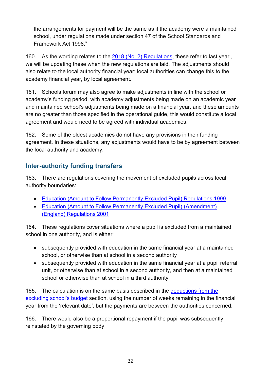the arrangements for payment will be the same as if the academy were a maintained school, under regulations made under section 47 of the School Standards and Framework Act 1998."

160. As the wording relates to the [2018 \(No. 2\) Regulations,](http://www.legislation.gov.uk/uksi/2018/1185/contents/made) these refer to last year , we will be updating these when the new regulations are laid. The adjustments should also relate to the local authority financial year; local authorities can change this to the academy financial year, by local agreement.

161. Schools forum may also agree to make adjustments in line with the school or academy's funding period, with academy adjustments being made on an academic year and maintained school's adjustments being made on a financial year, and these amounts are no greater than those specified in the operational guide, this would constitute a local agreement and would need to be agreed with individual academies.

162. Some of the oldest academies do not have any provisions in their funding agreement. In these situations, any adjustments would have to be by agreement between the local authority and academy.

## **Inter-authority funding transfers**

163. There are regulations covering the movement of excluded pupils across local authority boundaries:

- [Education \(Amount to Follow Permanently Excluded Pupil\) Regulations 1999](http://www.legislation.gov.uk/uksi/1999/495/contents/made)
- [Education \(Amount to Follow Permanently Excluded Pupil\) \(Amendment\)](http://www.legislation.gov.uk/uksi/2001/870/contents/made)  [\(England\) Regulations 2001](http://www.legislation.gov.uk/uksi/2001/870/contents/made)

164. These regulations cover situations where a pupil is excluded from a maintained school in one authority, and is either:

- subsequently provided with education in the same financial year at a maintained school, or otherwise than at school in a second authority
- subsequently provided with education in the same financial year at a pupil referral unit, or otherwise than at school in a second authority, and then at a maintained school or otherwise than at school in a third authority

165. The calculation is on the same basis described in the deductions from the [excluding school's budget](#page-29-0) section, using the number of weeks remaining in the financial year from the 'relevant date', but the payments are between the authorities concerned.

166. There would also be a proportional repayment if the pupil was subsequently reinstated by the governing body.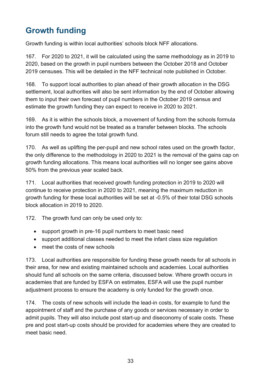# <span id="page-32-0"></span>**Growth funding**

Growth funding is within local authorities' schools block NFF allocations.

167. For 2020 to 2021, it will be calculated using the same methodology as in 2019 to 2020, based on the growth in pupil numbers between the October 2018 and October 2019 censuses. This will be detailed in the NFF technical note published in October.

168. To support local authorities to plan ahead of their growth allocation in the DSG settlement, local authorities will also be sent information by the end of October allowing them to input their own forecast of pupil numbers in the October 2019 census and estimate the growth funding they can expect to receive in 2020 to 2021.

169. As it is within the schools block, a movement of funding from the schools formula into the growth fund would not be treated as a transfer between blocks. The schools forum still needs to agree the total growth fund.

170. As well as uplifting the per-pupil and new school rates used on the growth factor, the only difference to the methodology in 2020 to 2021 is the removal of the gains cap on growth funding allocations. This means local authorities will no longer see gains above 50% from the previous year scaled back.

171. Local authorities that received growth funding protection in 2019 to 2020 will continue to receive protection in 2020 to 2021, meaning the maximum reduction in growth funding for these local authorities will be set at -0.5% of their total DSG schools block allocation in 2019 to 2020.

172. The growth fund can only be used only to:

- support growth in pre-16 pupil numbers to meet basic need
- support additional classes needed to meet the infant class size regulation
- meet the costs of new schools

173. Local authorities are responsible for funding these growth needs for all schools in their area, for new and existing maintained schools and academies. Local authorities should fund all schools on the same criteria, discussed below. Where growth occurs in academies that are funded by ESFA on estimates, ESFA will use the pupil number adjustment process to ensure the academy is only funded for the growth once.

174. The costs of new schools will include the lead-in costs, for example to fund the appointment of staff and the purchase of any goods or services necessary in order to admit pupils. They will also include post start-up and diseconomy of scale costs. These pre and post start-up costs should be provided for academies where they are created to meet basic need.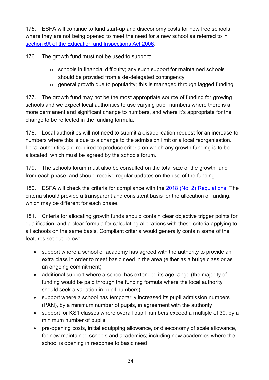175. ESFA will continue to fund start-up and diseconomy costs for new free schools where they are not being opened to meet the need for a new school as referred to in [section 6A of the Education and Inspections Act 2006.](http://www.legislation.gov.uk/ukpga/2011/21/schedule/11/crossheading/amendments-to-part-2-of-eia-2006)

176. The growth fund must not be used to support:

- $\circ$  schools in financial difficulty; any such support for maintained schools should be provided from a de-delegated contingency
- o general growth due to popularity; this is managed through lagged funding

177. The growth fund may not be the most appropriate source of funding for growing schools and we expect local authorities to use varying pupil numbers where there is a more permanent and significant change to numbers, and where it's appropriate for the change to be reflected in the funding formula.

178. Local authorities will not need to submit a disapplication request for an increase to numbers where this is due to a change to the admission limit or a local reorganisation. Local authorities are required to produce criteria on which any growth funding is to be allocated, which must be agreed by the schools forum.

179. The schools forum must also be consulted on the total size of the growth fund from each phase, and should receive regular updates on the use of the funding.

180. ESFA will check the criteria for compliance with the [2018 \(No. 2\) Regulations.](http://www.legislation.gov.uk/uksi/2018/1185/contents/made) The criteria should provide a transparent and consistent basis for the allocation of funding, which may be different for each phase.

181. Criteria for allocating growth funds should contain clear objective trigger points for qualification, and a clear formula for calculating allocations with these criteria applying to all schools on the same basis. Compliant criteria would generally contain some of the features set out below:

- support where a school or academy has agreed with the authority to provide an extra class in order to meet basic need in the area (either as a bulge class or as an ongoing commitment)
- additional support where a school has extended its age range (the majority of funding would be paid through the funding formula where the local authority should seek a variation in pupil numbers)
- support where a school has temporarily increased its pupil admission numbers (PAN), by a minimum number of pupils, in agreement with the authority
- support for KS1 classes where overall pupil numbers exceed a multiple of 30, by a minimum number of pupils
- pre-opening costs, initial equipping allowance, or diseconomy of scale allowance, for new maintained schools and academies; including new academies where the school is opening in response to basic need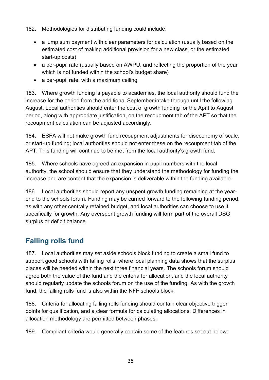182. Methodologies for distributing funding could include:

- a lump sum payment with clear parameters for calculation (usually based on the estimated cost of making additional provision for a new class, or the estimated start-up costs)
- a per-pupil rate (usually based on AWPU, and reflecting the proportion of the year which is not funded within the school's budget share)
- a per-pupil rate, with a maximum ceiling

183. Where growth funding is payable to academies, the local authority should fund the increase for the period from the additional September intake through until the following August. Local authorities should enter the cost of growth funding for the April to August period, along with appropriate justification, on the recoupment tab of the APT so that the recoupment calculation can be adjusted accordingly.

184. ESFA will not make growth fund recoupment adjustments for diseconomy of scale, or start-up funding; local authorities should not enter these on the recoupment tab of the APT. This funding will continue to be met from the local authority's growth fund.

185. Where schools have agreed an expansion in pupil numbers with the local authority, the school should ensure that they understand the methodology for funding the increase and are content that the expansion is deliverable within the funding available.

186. Local authorities should report any unspent growth funding remaining at the yearend to the schools forum. Funding may be carried forward to the following funding period, as with any other centrally retained budget, and local authorities can choose to use it specifically for growth. Any overspent growth funding will form part of the overall DSG surplus or deficit balance.

## <span id="page-34-0"></span>**Falling rolls fund**

187. Local authorities may set aside schools block funding to create a small fund to support good schools with falling rolls, where local planning data shows that the surplus places will be needed within the next three financial years. The schools forum should agree both the value of the fund and the criteria for allocation, and the local authority should regularly update the schools forum on the use of the funding. As with the growth fund, the falling rolls fund is also within the NFF schools block.

188. Criteria for allocating falling rolls funding should contain clear objective trigger points for qualification, and a clear formula for calculating allocations. Differences in allocation methodology are permitted between phases.

189. Compliant criteria would generally contain some of the features set out below: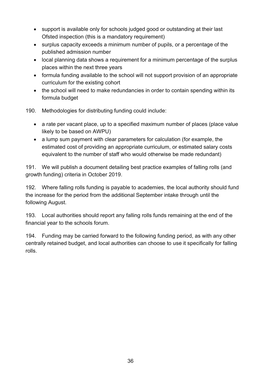- support is available only for schools judged good or outstanding at their last Ofsted inspection (this is a mandatory requirement)
- surplus capacity exceeds a minimum number of pupils, or a percentage of the published admission number
- local planning data shows a requirement for a minimum percentage of the surplus places within the next three years
- formula funding available to the school will not support provision of an appropriate curriculum for the existing cohort
- the school will need to make redundancies in order to contain spending within its formula budget

190. Methodologies for distributing funding could include:

- a rate per vacant place, up to a specified maximum number of places (place value likely to be based on AWPU)
- a lump sum payment with clear parameters for calculation (for example, the estimated cost of providing an appropriate curriculum, or estimated salary costs equivalent to the number of staff who would otherwise be made redundant)

191. We will publish a document detailing best practice examples of falling rolls (and growth funding) criteria in October 2019.

192. Where falling rolls funding is payable to academies, the local authority should fund the increase for the period from the additional September intake through until the following August.

193. Local authorities should report any falling rolls funds remaining at the end of the financial year to the schools forum.

194. Funding may be carried forward to the following funding period, as with any other centrally retained budget, and local authorities can choose to use it specifically for falling rolls.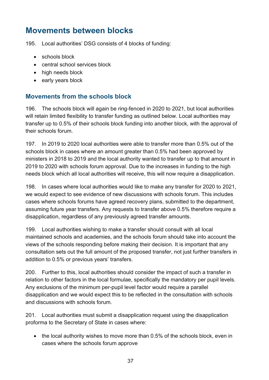# <span id="page-36-0"></span>**Movements between blocks**

195. Local authorities' DSG consists of 4 blocks of funding:

- schools block
- central school services block
- high needs block
- early years block

#### **Movements from the schools block**

196. The schools block will again be ring-fenced in 2020 to 2021, but local authorities will retain limited flexibility to transfer funding as outlined below. Local authorities may transfer up to 0.5% of their schools block funding into another block, with the approval of their schools forum.

197. In 2019 to 2020 local authorities were able to transfer more than 0.5% out of the schools block in cases where an amount greater than 0.5% had been approved by ministers in 2018 to 2019 and the local authority wanted to transfer up to that amount in 2019 to 2020 with schools forum approval. Due to the increases in funding to the high needs block which all local authorities will receive, this will now require a disapplication.

198. In cases where local authorities would like to make any transfer for 2020 to 2021, we would expect to see evidence of new discussions with schools forum. This includes cases where schools forums have agreed recovery plans, submitted to the department, assuming future year transfers. Any requests to transfer above 0.5% therefore require a disapplication, regardless of any previously agreed transfer amounts.

199. Local authorities wishing to make a transfer should consult with all local maintained schools and academies, and the schools forum should take into account the views of the schools responding before making their decision. It is important that any consultation sets out the full amount of the proposed transfer, not just further transfers in addition to 0.5% or previous years' transfers.

200. Further to this, local authorities should consider the impact of such a transfer in relation to other factors in the local formulae, specifically the mandatory per pupil levels. Any exclusions of the minimum per-pupil level factor would require a parallel disapplication and we would expect this to be reflected in the consultation with schools and discussions with schools forum.

201. Local authorities must submit a disapplication request using the disapplication proforma to the Secretary of State in cases where:

• the local authority wishes to move more than 0.5% of the schools block, even in cases where the schools forum approve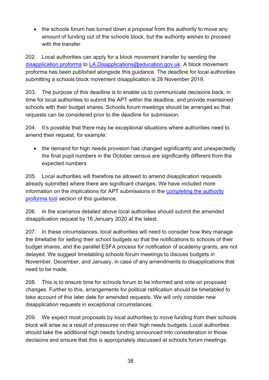• the schools forum has turned down a proposal from the authority to move any amount of funding out of the schools block, but the authority wishes to proceed with the transfer

202. Local authorities can apply for a block movement transfer by sending the [disapplication proforma](https://www.gov.uk/government/publications/pre-16-schools-funding-local-authority-guidance-for-2020-to-2021) to [LA.Disapplications@education.gov.uk.](mailto:LA.Disapplications@education.gov.uk) A block movement proforma has been published alongside this guidance. The deadline for local authorities submitting a schools block movement disapplication is 28 November 2019.

203. The purpose of this deadline is to enable us to communicate decisions back, in time for local authorities to submit the APT within the deadline, and provide maintained schools with their budget shares. Schools forum meetings should be arranged so that requests can be considered prior to the deadline for submission.

204. It's possible that there may be exceptional situations where authorities need to amend their request, for example:

• the demand for high needs provision has changed significantly and unexpectedly the final pupil numbers in the October census are significantly different from the expected numbers

205. Local authorities will therefore be allowed to amend disapplication requests already submitted where there are significant changes. We have included more information on the implications for APT submissions in the [completing the authority](#page-48-1)  [proforma tool](#page-48-1) section of this guidance.

206. In the scenarios detailed above local authorities should submit the amended disapplication request by 16 January 2020 at the latest.

207. In these circumstances, local authorities will need to consider how they manage the timetable for setting their school budgets so that the notifications to schools of their budget shares, and the parallel ESFA process for notification of academy grants, are not delayed. We suggest timetabling schools forum meetings to discuss budgets in November, December, and January, in case of any amendments to disapplications that need to be made.

208. This is to ensure time for schools forum to be informed and vote on proposed changes. Further to this, arrangements for political ratification should be timetabled to take account of this later date for amended requests. We will only consider new disapplication requests in exceptional circumstances.

209. We expect most proposals by local authorities to move funding from their schools block will arise as a result of pressures on their high needs budgets. Local authorities should take the additional high needs funding announced into consideration in those decisions and ensure that this is appropriately discussed at schools forum meetings.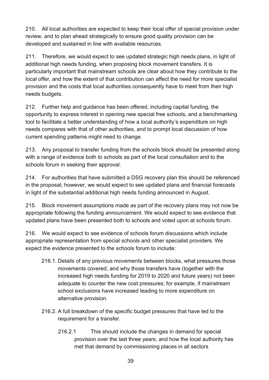210. All local authorities are expected to keep their local offer of special provision under review, and to plan ahead strategically to ensure good quality provision can be developed and sustained in line with available resources.

211. Therefore, we would expect to see updated strategic high needs plans, in light of additional high needs funding, when proposing block movement transfers. It is particularly important that mainstream schools are clear about how they contribute to the local offer, and how the extent of that contribution can affect the need for more specialist provision and the costs that local authorities consequently have to meet from their high needs budgets.

212. Further help and guidance has been offered, including capital funding, the opportunity to express interest in opening new special free schools, and a benchmarking tool to facilitate a better understanding of how a local authority's expenditure on high needs compares with that of other authorities, and to prompt local discussion of how current spending patterns might need to change.

213. Any proposal to transfer funding from the schools block should be presented along with a range of evidence both to schools as part of the local consultation and to the schools forum in seeking their approval.

214. For authorities that have submitted a DSG recovery plan this should be referenced in the proposal; however, we would expect to see updated plans and financial forecasts in light of the substantial additional high needs funding announced in August.

215. Block movement assumptions made as part of the recovery plans may not now be appropriate following the funding announcement. We would expect to see evidence that updated plans have been presented both to schools and voted upon at schools forum.

216. We would expect to see evidence of schools forum discussions which include appropriate representation from special schools and other specialist providers. We expect the evidence presented to the schools forum to include:

- 216.1. Details of any previous movements between blocks, what pressures those movements covered, and why those transfers have (together with the increased high needs funding for 2019 to 2020 and future years) not been adequate to counter the new cost pressures; for example, if mainstream school exclusions have increased leading to more expenditure on alternative provision.
- 216.2. A full breakdown of the specific budget pressures that have led to the requirement for a transfer.
	- 216.2.1 This should include the changes in demand for special provision over the last three years, and how the local authority has met that demand by commissioning places in all sectors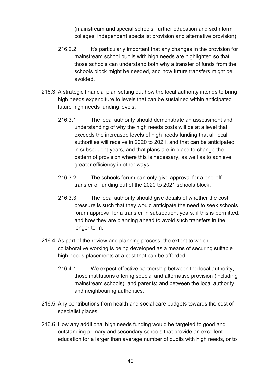(mainstream and special schools, further education and sixth form colleges, independent specialist provision and alternative provision).

- 216.2.2 It's particularly important that any changes in the provision for mainstream school pupils with high needs are highlighted so that those schools can understand both why a transfer of funds from the schools block might be needed, and how future transfers might be avoided.
- 216.3. A strategic financial plan setting out how the local authority intends to bring high needs expenditure to levels that can be sustained within anticipated future high needs funding levels.
	- 216.3.1 The local authority should demonstrate an assessment and understanding of why the high needs costs will be at a level that exceeds the increased levels of high needs funding that all local authorities will receive in 2020 to 2021, and that can be anticipated in subsequent years, and that plans are in place to change the pattern of provision where this is necessary, as well as to achieve greater efficiency in other ways.
	- 216.3.2 The schools forum can only give approval for a one-off transfer of funding out of the 2020 to 2021 schools block.
	- 216.3.3 The local authority should give details of whether the cost pressure is such that they would anticipate the need to seek schools forum approval for a transfer in subsequent years, if this is permitted, and how they are planning ahead to avoid such transfers in the longer term.
- 216.4. As part of the review and planning process, the extent to which collaborative working is being developed as a means of securing suitable high needs placements at a cost that can be afforded.
	- 216.4.1 We expect effective partnership between the local authority, those institutions offering special and alternative provision (including mainstream schools), and parents; and between the local authority and neighbouring authorities.
- 216.5. Any contributions from health and social care budgets towards the cost of specialist places.
- 216.6. How any additional high needs funding would be targeted to good and outstanding primary and secondary schools that provide an excellent education for a larger than average number of pupils with high needs, or to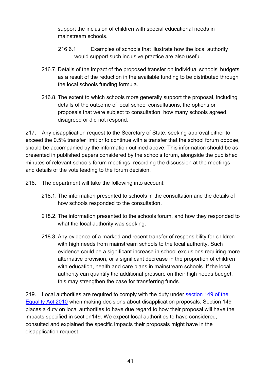support the inclusion of children with special educational needs in mainstream schools.

- 216.6.1 Examples of schools that illustrate how the local authority would support such inclusive practice are also useful.
- 216.7. Details of the impact of the proposed transfer on individual schools' budgets as a result of the reduction in the available funding to be distributed through the local schools funding formula.
- 216.8. The extent to which schools more generally support the proposal, including details of the outcome of local school consultations, the options or proposals that were subject to consultation, how many schools agreed, disagreed or did not respond.

217. Any disapplication request to the Secretary of State, seeking approval either to exceed the 0.5% transfer limit or to continue with a transfer that the school forum oppose, should be accompanied by the information outlined above. This information should be as presented in published papers considered by the schools forum, alongside the published minutes of relevant schools forum meetings, recording the discussion at the meetings, and details of the vote leading to the forum decision.

218. The department will take the following into account:

- 218.1. The information presented to schools in the consultation and the details of how schools responded to the consultation.
- 218.2. The information presented to the schools forum, and how they responded to what the local authority was seeking.
- 218.3. Any evidence of a marked and recent transfer of responsibility for children with high needs from mainstream schools to the local authority. Such evidence could be a significant increase in school exclusions requiring more alternative provision, or a significant decrease in the proportion of children with education, health and care plans in mainstream schools. If the local authority can quantify the additional pressure on their high needs budget, this may strengthen the case for transferring funds.

219. Local authorities are required to comply with the duty under section 149 of the [Equality Act 2010](http://www.legislation.gov.uk/ukpga/2010/15/section/149) when making decisions about disapplication proposals. Section 149 places a duty on local authorities to have due regard to how their proposal will have the impacts specified in section149. We expect local authorities to have considered, consulted and explained the specific impacts their proposals might have in the disapplication request.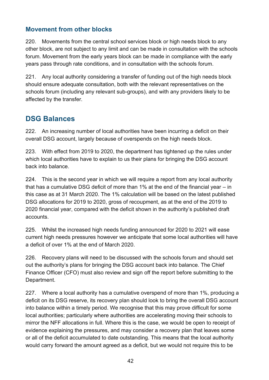## **Movement from other blocks**

220. Movements from the central school services block or high needs block to any other block, are not subject to any limit and can be made in consultation with the schools forum. Movement from the early years block can be made in compliance with the early years pass through rate conditions, and in consultation with the schools forum.

221. Any local authority considering a transfer of funding out of the high needs block should ensure adequate consultation, both with the relevant representatives on the schools forum (including any relevant sub-groups), and with any providers likely to be affected by the transfer.

## <span id="page-41-0"></span>**DSG Balances**

222. An increasing number of local authorities have been incurring a deficit on their overall DSG account, largely because of overspends on the high needs block.

223. With effect from 2019 to 2020, the department has tightened up the rules under which local authorities have to explain to us their plans for bringing the DSG account back into balance.

224. This is the second year in which we will require a report from any local authority that has a cumulative DSG deficit of more than 1% at the end of the financial year – in this case as at 31 March 2020. The 1% calculation will be based on the latest published DSG allocations for 2019 to 2020, gross of recoupment, as at the end of the 2019 to 2020 financial year, compared with the deficit shown in the authority's published draft accounts.

225. Whilst the increased high needs funding announced for 2020 to 2021 will ease current high needs pressures however we anticipate that some local authorities will have a deficit of over 1% at the end of March 2020.

226. Recovery plans will need to be discussed with the schools forum and should set out the authority's plans for bringing the DSG account back into balance. The Chief Finance Officer (CFO) must also review and sign off the report before submitting to the Department.

227. Where a local authority has a cumulative overspend of more than 1%, producing a deficit on its DSG reserve, its recovery plan should look to bring the overall DSG account into balance within a timely period. We recognise that this may prove difficult for some local authorities; particularly where authorities are accelerating moving their schools to mirror the NFF allocations in full. Where this is the case, we would be open to receipt of evidence explaining the pressures, and may consider a recovery plan that leaves some or all of the deficit accumulated to date outstanding. This means that the local authority would carry forward the amount agreed as a deficit, but we would not require this to be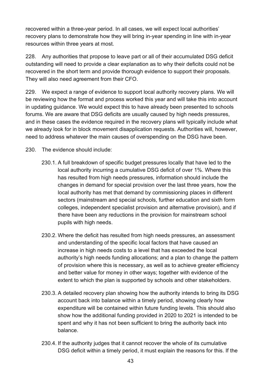recovered within a three-year period. In all cases, we will expect local authorities' recovery plans to demonstrate how they will bring in-year spending in line with in-year resources within three years at most.

228. Any authorities that propose to leave part or all of their accumulated DSG deficit outstanding will need to provide a clear explanation as to why their deficits could not be recovered in the short term and provide thorough evidence to support their proposals. They will also need agreement from their CFO.

229. We expect a range of evidence to support local authority recovery plans. We will be reviewing how the format and process worked this year and will take this into account in updating guidance. We would expect this to have already been presented to schools forums. We are aware that DSG deficits are usually caused by high needs pressures, and in these cases the evidence required in the recovery plans will typically include what we already look for in block movement disapplication requests. Authorities will, however, need to address whatever the main causes of overspending on the DSG have been.

230. The evidence should include:

- 230.1. A full breakdown of specific budget pressures locally that have led to the local authority incurring a cumulative DSG deficit of over 1%. Where this has resulted from high needs pressures, information should include the changes in demand for special provision over the last three years, how the local authority has met that demand by commissioning places in different sectors (mainstream and special schools, further education and sixth form colleges, independent specialist provision and alternative provision), and if there have been any reductions in the provision for mainstream school pupils with high needs.
- 230.2. Where the deficit has resulted from high needs pressures, an assessment and understanding of the specific local factors that have caused an increase in high needs costs to a level that has exceeded the local authority's high needs funding allocations; and a plan to change the pattern of provision where this is necessary, as well as to achieve greater efficiency and better value for money in other ways; together with evidence of the extent to which the plan is supported by schools and other stakeholders.
- 230.3. A detailed recovery plan showing how the authority intends to bring its DSG account back into balance within a timely period, showing clearly how expenditure will be contained within future funding levels. This should also show how the additional funding provided in 2020 to 2021 is intended to be spent and why it has not been sufficient to bring the authority back into balance.
- 230.4. If the authority judges that it cannot recover the whole of its cumulative DSG deficit within a timely period, it must explain the reasons for this. If the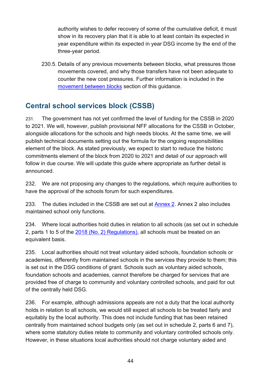authority wishes to defer recovery of some of the cumulative deficit, it must show in its recovery plan that it is able to at least contain its expected in year expenditure within its expected in year DSG income by the end of the three-year period.

230.5. Details of any previous movements between blocks, what pressures those movements covered, and why those transfers have not been adequate to counter the new cost pressures. Further information is included in the movement between blocks section of this guidance.

## <span id="page-43-0"></span>**Central school services block (CSSB)**

231. The government has not yet confirmed the level of funding for the CSSB in 2020 to 2021. We will, however, publish provisional NFF allocations for the CSSB in October, alongside allocations for the schools and high needs blocks. At the same time, we will publish technical documents setting out the formula for the ongoing responsibilities element of the block. As stated previously, we expect to start to reduce the historic commitments element of the block from 2020 to 2021 and detail of our approach will follow in due course. We will update this guide where appropriate as further detail is announced.

232. We are not proposing any changes to the regulations, which require authorities to have the approval of the schools forum for such expenditures.

233. The duties included in the CSSB are set out at [Annex 2.](#page-59-0) Annex 2 also includes maintained school only functions.

234. Where local authorities hold duties in relation to all schools (as set out in schedule 2, parts 1 to 5 of the [2018 \(No. 2\) Regulations\),](http://www.legislation.gov.uk/uksi/2018/1185/contents/made) all schools must be treated on an equivalent basis.

235. Local authorities should not treat voluntary aided schools, foundation schools or academies, differently from maintained schools in the services they provide to them; this is set out in the DSG conditions of grant. Schools such as voluntary aided schools, foundation schools and academies, cannot therefore be charged for services that are provided free of charge to community and voluntary controlled schools, and paid for out of the centrally held DSG.

236. For example, although admissions appeals are not a duty that the local authority holds in relation to all schools, we would still expect all schools to be treated fairly and equitably by the local authority. This does not include funding that has been retained centrally from maintained school budgets only (as set out in schedule 2, parts 6 and 7), where some statutory duties relate to community and voluntary controlled schools only. However, in these situations local authorities should not charge voluntary aided and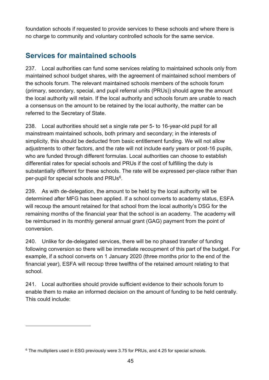foundation schools if requested to provide services to these schools and where there is no charge to community and voluntary controlled schools for the same service.

## <span id="page-44-0"></span>**Services for maintained schools**

237. Local authorities can fund some services relating to maintained schools only from maintained school budget shares, with the agreement of maintained school members of the schools forum. The relevant maintained schools members of the schools forum (primary, secondary, special, and pupil referral units (PRUs)) should agree the amount the local authority will retain. If the local authority and schools forum are unable to reach a consensus on the amount to be retained by the local authority, the matter can be referred to the Secretary of State.

238. Local authorities should set a single rate per 5- to 16-year-old pupil for all mainstream maintained schools, both primary and secondary; in the interests of simplicity, this should be deducted from basic entitlement funding. We will not allow adjustments to other factors, and the rate will not include early years or post-16 pupils, who are funded through different formulas. Local authorities can choose to establish differential rates for special schools and PRUs if the cost of fulfilling the duty is substantially different for these schools. The rate will be expressed per-place rather than per-pupil for special schools and PRUs<sup>6</sup>.

239. As with de-delegation, the amount to be held by the local authority will be determined after MFG has been applied. If a school converts to academy status, ESFA will recoup the amount retained for that school from the local authority's DSG for the remaining months of the financial year that the school is an academy. The academy will be reimbursed in its monthly general annual grant (GAG) payment from the point of conversion.

240. Unlike for de-delegated services, there will be no phased transfer of funding following conversion so there will be immediate recoupment of this part of the budget. For example, if a school converts on 1 January 2020 (three months prior to the end of the financial year), ESFA will recoup three twelfths of the retained amount relating to that school.

241. Local authorities should provide sufficient evidence to their schools forum to enable them to make an informed decision on the amount of funding to be held centrally. This could include:

<sup>&</sup>lt;sup>6</sup> The multipliers used in ESG previously were 3.75 for PRUs, and 4.25 for special schools.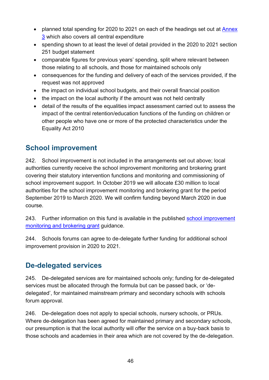- planned total spending for 2020 to 2021 on each of the headings set out at **Annex** [3](#page-63-0) which also covers all central expenditure
- spending shown to at least the level of detail provided in the 2020 to 2021 section 251 budget statement
- comparable figures for previous years' spending, split where relevant between those relating to all schools, and those for maintained schools only
- consequences for the funding and delivery of each of the services provided, if the request was not approved
- the impact on individual school budgets, and their overall financial position
- the impact on the local authority if the amount was not held centrally
- detail of the results of the equalities impact assessment carried out to assess the impact of the central retention/education functions of the funding on children or other people who have one or more of the protected characteristics under the Equality Act 2010

## <span id="page-45-0"></span>**School improvement**

242. School improvement is not included in the arrangements set out above; local authorities currently receive the school improvement monitoring and brokering grant covering their statutory intervention functions and monitoring and commissioning of school improvement support. In October 2019 we will allocate £30 million to local authorities for the school improvement monitoring and brokering grant for the period September 2019 to March 2020. We will confirm funding beyond March 2020 in due course.

243. Further information on this fund is available in the published school improvement [monitoring and brokering grant](https://www.gov.uk/government/publications/school-improvement-monitoring-and-brokering-grant-allocations) guidance.

244. Schools forums can agree to de-delegate further funding for additional school improvement provision in 2020 to 2021.

## <span id="page-45-1"></span>**De-delegated services**

245. De-delegated services are for maintained schools only; funding for de-delegated services must be allocated through the formula but can be passed back, or 'dedelegated', for maintained mainstream primary and secondary schools with schools forum approval.

246. De-delegation does not apply to special schools, nursery schools, or PRUs. Where de-delegation has been agreed for maintained primary and secondary schools, our presumption is that the local authority will offer the service on a buy-back basis to those schools and academies in their area which are not covered by the de-delegation.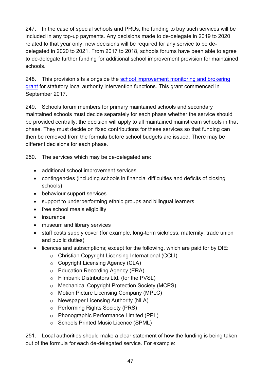247. In the case of special schools and PRUs, the funding to buy such services will be included in any top-up payments. Any decisions made to de-delegate in 2019 to 2020 related to that year only, new decisions will be required for any service to be dedelegated in 2020 to 2021. From 2017 to 2018, schools forums have been able to agree to de-delegate further funding for additional school improvement provision for maintained schools.

248. This provision sits alongside the [school improvement monitoring and brokering](https://www.gov.uk/government/publications/school-improvement-monitoring-and-brokering-grant-allocations)  [grant](https://www.gov.uk/government/publications/school-improvement-monitoring-and-brokering-grant-allocations) for statutory local authority intervention functions. This grant commenced in September 2017.

249. Schools forum members for primary maintained schools and secondary maintained schools must decide separately for each phase whether the service should be provided centrally; the decision will apply to all maintained mainstream schools in that phase. They must decide on fixed contributions for these services so that funding can then be removed from the formula before school budgets are issued. There may be different decisions for each phase.

250. The services which may be de-delegated are:

- additional school improvement services
- contingencies (including schools in financial difficulties and deficits of closing schools)
- behaviour support services
- support to underperforming ethnic groups and bilingual learners
- free school meals eligibility
- insurance
- museum and library services
- staff costs supply cover (for example, long-term sickness, maternity, trade union and public duties)
- licences and subscriptions; except for the following, which are paid for by DfE:
	- o Christian Copyright Licensing International (CCLI)
	- o Copyright Licensing Agency (CLA)
	- o Education Recording Agency (ERA)
	- o Filmbank Distributors Ltd. (for the PVSL)
	- o Mechanical Copyright Protection Society (MCPS)
	- o Motion Picture Licensing Company (MPLC)
	- o Newspaper Licensing Authority (NLA)
	- o Performing Rights Society (PRS)
	- o Phonographic Performance Limited (PPL)
	- o Schools Printed Music Licence (SPML)

251. Local authorities should make a clear statement of how the funding is being taken out of the formula for each de-delegated service. For example: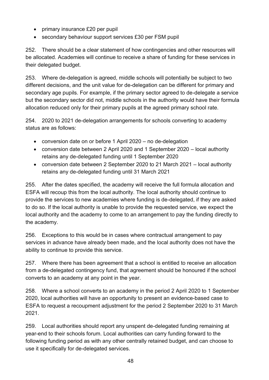- primary insurance £20 per pupil
- secondary behaviour support services £30 per FSM pupil

252. There should be a clear statement of how contingencies and other resources will be allocated. Academies will continue to receive a share of funding for these services in their delegated budget.

253. Where de-delegation is agreed, middle schools will potentially be subject to two different decisions, and the unit value for de-delegation can be different for primary and secondary age pupils. For example, if the primary sector agreed to de-delegate a service but the secondary sector did not, middle schools in the authority would have their formula allocation reduced only for their primary pupils at the agreed primary school rate.

254. 2020 to 2021 de-delegation arrangements for schools converting to academy status are as follows:

- conversion date on or before 1 April 2020 no de-delegation
- conversion date between 2 April 2020 and 1 September 2020 local authority retains any de-delegated funding until 1 September 2020
- conversion date between 2 September 2020 to 21 March 2021 local authority retains any de-delegated funding until 31 March 2021

255. After the dates specified, the academy will receive the full formula allocation and ESFA will recoup this from the local authority. The local authority should continue to provide the services to new academies where funding is de-delegated, if they are asked to do so. If the local authority is unable to provide the requested service, we expect the local authority and the academy to come to an arrangement to pay the funding directly to the academy.

256. Exceptions to this would be in cases where contractual arrangement to pay services in advance have already been made, and the local authority does not have the ability to continue to provide this service.

257. Where there has been agreement that a school is entitled to receive an allocation from a de-delegated contingency fund, that agreement should be honoured if the school converts to an academy at any point in the year.

258. Where a school converts to an academy in the period 2 April 2020 to 1 September 2020, local authorities will have an opportunity to present an evidence-based case to ESFA to request a recoupment adjustment for the period 2 September 2020 to 31 March 2021.

259. Local authorities should report any unspent de-delegated funding remaining at year-end to their schools forum. Local authorities can carry funding forward to the following funding period as with any other centrally retained budget, and can choose to use it specifically for de-delegated services.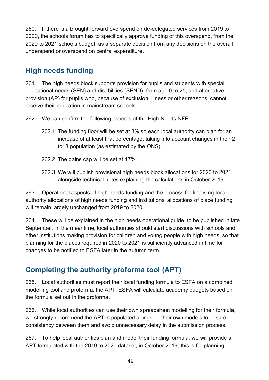260. If there is a brought forward overspend on de-delegated services from 2019 to 2020, the schools forum has to specifically approve funding of this overspend, from the 2020 to 2021 schools budget, as a separate decision from any decisions on the overall underspend or overspend on central expenditure.

## <span id="page-48-0"></span>**High needs funding**

261. The high needs block supports provision for pupils and students with special educational needs (SEN) and disabilities (SEND), from age 0 to 25, and alternative provision (AP) for pupils who, because of exclusion, illness or other reasons, cannot receive their education in mainstream schools.

- 262. We can confirm the following aspects of the High Needs NFF:
	- 262.1. The funding floor will be set at 8% so each local authority can plan for an increase of at least that percentage, taking into account changes in their 2 to18 population (as estimated by the ONS).
	- 262.2. The gains cap will be set at 17%.
	- 262.3. We will publish provisional high needs block allocations for 2020 to 2021 alongside technical notes explaining the calculations in October 2019.

263. Operational aspects of high needs funding and the process for finalising local authority allocations of high needs funding and institutions' allocations of place funding will remain largely unchanged from 2019 to 2020.

264. These will be explained in the high needs operational guide, to be published in late September. In the meantime, local authorities should start discussions with schools and other institutions making provision for children and young people with high needs, so that planning for the places required in 2020 to 2021 is sufficiently advanced in time for changes to be notified to ESFA later in the autumn term.

## <span id="page-48-1"></span>**Completing the authority proforma tool (APT)**

265. Local authorities must report their local funding formula to ESFA on a combined modelling tool and proforma, the APT. ESFA will calculate academy budgets based on the formula set out in the proforma.

266. While local authorities can use their own spreadsheet modelling for their formula, we strongly recommend the APT is populated alongside their own models to ensure consistency between them and avoid unnecessary delay in the submission process.

267. To help local authorities plan and model their funding formula, we will provide an APT formulated with the 2019 to 2020 dataset, in October 2019; this is for planning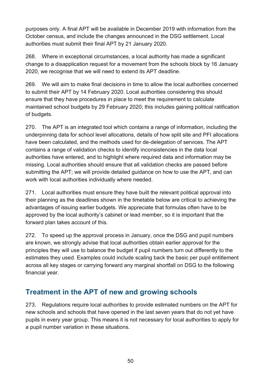purposes only. A final APT will be available in December 2019 with information from the October census, and include the changes announced in the DSG settlement. Local authorities must submit their final APT by 21 January 2020.

268. Where in exceptional circumstances, a local authority has made a significant change to a disapplication request for a movement from the schools block by 16 January 2020, we recognise that we will need to extend its APT deadline.

269. We will aim to make final decisions in time to allow the local authorities concerned to submit their APT by 14 February 2020. Local authorities considering this should ensure that they have procedures in place to meet the requirement to calculate maintained school budgets by 29 February 2020; this includes gaining political ratification of budgets.

270. The APT is an integrated tool which contains a range of information, including the underpinning data for school level allocations, details of how split site and PFI allocations have been calculated, and the methods used for de-delegation of services. The APT contains a range of validation checks to identify inconsistencies in the data local authorities have entered, and to highlight where required data and information may be missing. Local authorities should ensure that all validation checks are passed before submitting the APT; we will provide detailed guidance on how to use the APT, and can work with local authorities individually where needed.

271. Local authorities must ensure they have built the relevant political approval into their planning as the deadlines shown in the timetable below are critical to achieving the advantages of issuing earlier budgets. We appreciate that formulas often have to be approved by the local authority's cabinet or lead member, so it is important that the forward plan takes account of this.

272. To speed up the approval process in January, once the DSG and pupil numbers are known, we strongly advise that local authorities obtain earlier approval for the principles they will use to balance the budget if pupil numbers turn out differently to the estimates they used. Examples could include scaling back the basic per pupil entitlement across all key stages or carrying forward any marginal shortfall on DSG to the following financial year.

## <span id="page-49-0"></span>**Treatment in the APT of new and growing schools**

273. Regulations require local authorities to provide estimated numbers on the APT for new schools and schools that have opened in the last seven years that do not yet have pupils in every year group. This means it is not necessary for local authorities to apply for a pupil number variation in these situations.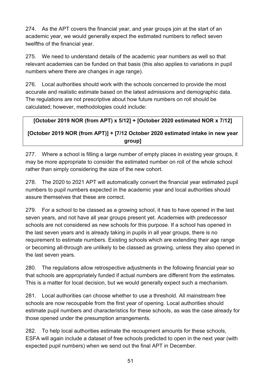274. As the APT covers the financial year, and year groups join at the start of an academic year, we would generally expect the estimated numbers to reflect seven twelfths of the financial year.

275. We need to understand details of the academic year numbers as well so that relevant academies can be funded on that basis (this also applies to variations in pupil numbers where there are changes in age range).

276. Local authorities should work with the schools concerned to provide the most accurate and realistic estimate based on the latest admissions and demographic data. The regulations are not prescriptive about how future numbers on roll should be calculated; however, methodologies could include:

#### **[October 2019 NOR (from APT) x 5/12] + [October 2020 estimated NOR x 7/12]**

#### **[October 2019 NOR (from APT)] + [7/12 October 2020 estimated intake in new year group]**

277. Where a school is filling a large number of empty places in existing year groups, it may be more appropriate to consider the estimated number on roll of the whole school rather than simply considering the size of the new cohort.

278. The 2020 to 2021 APT will automatically convert the financial year estimated pupil numbers to pupil numbers expected in the academic year and local authorities should assure themselves that these are correct.

279. For a school to be classed as a growing school, it has to have opened in the last seven years, and not have all year groups present yet. Academies with predecessor schools are not considered as new schools for this purpose. If a school has opened in the last seven years and is already taking in pupils in all year groups, there is no requirement to estimate numbers. Existing schools which are extending their age range or becoming all-through are unlikely to be classed as growing, unless they also opened in the last seven years.

280. The regulations allow retrospective adjustments in the following financial year so that schools are appropriately funded if actual numbers are different from the estimates. This is a matter for local decision, but we would generally expect such a mechanism.

281. Local authorities can choose whether to use a threshold. All mainstream free schools are now recoupable from the first year of opening. Local authorities should estimate pupil numbers and characteristics for these schools, as was the case already for those opened under the presumption arrangements.

282. To help local authorities estimate the recoupment amounts for these schools, ESFA will again include a dataset of free schools predicted to open in the next year (with expected pupil numbers) when we send out the final APT in December.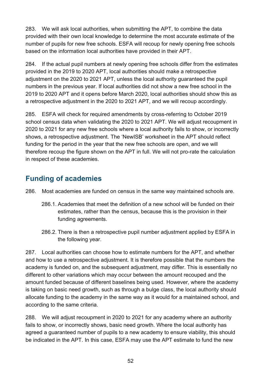283. We will ask local authorities, when submitting the APT, to combine the data provided with their own local knowledge to determine the most accurate estimate of the number of pupils for new free schools. ESFA will recoup for newly opening free schools based on the information local authorities have provided in their APT.

284. If the actual pupil numbers at newly opening free schools differ from the estimates provided in the 2019 to 2020 APT, local authorities should make a retrospective adjustment on the 2020 to 2021 APT, unless the local authority guaranteed the pupil numbers in the previous year. If local authorities did not show a new free school in the 2019 to 2020 APT and it opens before March 2020, local authorities should show this as a retrospective adjustment in the 2020 to 2021 APT, and we will recoup accordingly.

285. ESFA will check for required amendments by cross-referring to October 2019 school census data when validating the 2020 to 2021 APT. We will adjust recoupment in 2020 to 2021 for any new free schools where a local authority fails to show, or incorrectly shows, a retrospective adjustment. The 'NewISB' worksheet in the APT should reflect funding for the period in the year that the new free schools are open, and we will therefore recoup the figure shown on the APT in full. We will not pro-rate the calculation in respect of these academies.

## <span id="page-51-0"></span>**Funding of academies**

- 286. Most academies are funded on census in the same way maintained schools are.
	- 286.1. Academies that meet the definition of a new school will be funded on their estimates, rather than the census, because this is the provision in their funding agreements.
	- 286.2. There is then a retrospective pupil number adjustment applied by ESFA in the following year.

287. Local authorities can choose how to estimate numbers for the APT, and whether and how to use a retrospective adjustment. It is therefore possible that the numbers the academy is funded on, and the subsequent adjustment, may differ. This is essentially no different to other variations which may occur between the amount recouped and the amount funded because of different baselines being used. However, where the academy is taking on basic need growth, such as through a bulge class, the local authority should allocate funding to the academy in the same way as it would for a maintained school, and according to the same criteria.

288. We will adjust recoupment in 2020 to 2021 for any academy where an authority fails to show, or incorrectly shows, basic need growth. Where the local authority has agreed a guaranteed number of pupils to a new academy to ensure viability, this should be indicated in the APT. In this case, ESFA may use the APT estimate to fund the new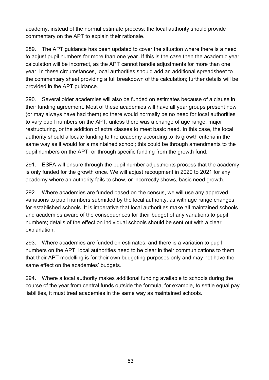academy, instead of the normal estimate process; the local authority should provide commentary on the APT to explain their rationale.

289. The APT guidance has been updated to cover the situation where there is a need to adjust pupil numbers for more than one year. If this is the case then the academic year calculation will be incorrect, as the APT cannot handle adjustments for more than one year. In these circumstances, local authorities should add an additional spreadsheet to the commentary sheet providing a full breakdown of the calculation; further details will be provided in the APT guidance.

290. Several older academies will also be funded on estimates because of a clause in their funding agreement. Most of these academies will have all year groups present now (or may always have had them) so there would normally be no need for local authorities to vary pupil numbers on the APT; unless there was a change of age range, major restructuring, or the addition of extra classes to meet basic need. In this case, the local authority should allocate funding to the academy according to its growth criteria in the same way as it would for a maintained school; this could be through amendments to the pupil numbers on the APT, or through specific funding from the growth fund.

291. ESFA will ensure through the pupil number adjustments process that the academy is only funded for the growth once. We will adjust recoupment in 2020 to 2021 for any academy where an authority fails to show, or incorrectly shows, basic need growth.

292. Where academies are funded based on the census, we will use any approved variations to pupil numbers submitted by the local authority, as with age range changes for established schools. It is imperative that local authorities make all maintained schools and academies aware of the consequences for their budget of any variations to pupil numbers; details of the effect on individual schools should be sent out with a clear explanation.

293. Where academies are funded on estimates, and there is a variation to pupil numbers on the APT, local authorities need to be clear in their communications to them that their APT modelling is for their own budgeting purposes only and may not have the same effect on the academies' budgets.

294. Where a local authority makes additional funding available to schools during the course of the year from central funds outside the formula, for example, to settle equal pay liabilities, it must treat academies in the same way as maintained schools.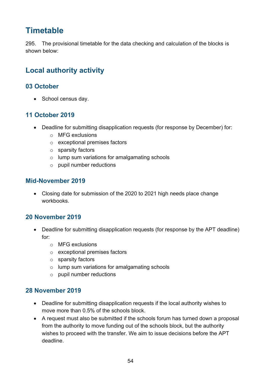# <span id="page-53-0"></span>**Timetable**

295. The provisional timetable for the data checking and calculation of the blocks is shown below:

## <span id="page-53-1"></span>**Local authority activity**

#### **03 October**

• School census day.

## **11 October 2019**

- Deadline for submitting disapplication requests (for response by December) for:
	- o MFG exclusions
	- o exceptional premises factors
	- o sparsity factors
	- o lump sum variations for amalgamating schools
	- o pupil number reductions

#### **Mid-November 2019**

• Closing date for submission of the 2020 to 2021 high needs place change workbooks.

## **20 November 2019**

- Deadline for submitting disapplication requests (for response by the APT deadline) for:
	- o MFG exclusions
	- o exceptional premises factors
	- o sparsity factors
	- o lump sum variations for amalgamating schools
	- o pupil number reductions

## **28 November 2019**

- Deadline for submitting disapplication requests if the local authority wishes to move more than 0.5% of the schools block.
- A request must also be submitted if the schools forum has turned down a proposal from the authority to move funding out of the schools block, but the authority wishes to proceed with the transfer. We aim to issue decisions before the APT deadline.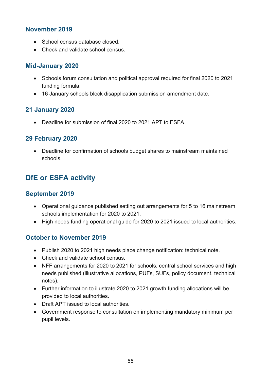#### **November 2019**

- School census database closed.
- Check and validate school census.

#### **Mid-January 2020**

- Schools forum consultation and political approval required for final 2020 to 2021 funding formula.
- 16 January schools block disapplication submission amendment date.

## **21 January 2020**

• Deadline for submission of final 2020 to 2021 APT to ESFA.

#### **29 February 2020**

• Deadline for confirmation of schools budget shares to mainstream maintained schools.

## <span id="page-54-0"></span>**DfE or ESFA activity**

#### **September 2019**

- Operational guidance published setting out arrangements for 5 to 16 mainstream schools implementation for 2020 to 2021.
- High needs funding operational guide for 2020 to 2021 issued to local authorities.

## **October to November 2019**

- Publish 2020 to 2021 high needs place change notification: technical note.
- Check and validate school census.
- NFF arrangements for 2020 to 2021 for schools, central school services and high needs published (illustrative allocations, PUFs, SUFs, policy document, technical notes).
- Further information to illustrate 2020 to 2021 growth funding allocations will be provided to local authorities.
- Draft APT issued to local authorities.
- Government response to consultation on implementing mandatory minimum per pupil levels.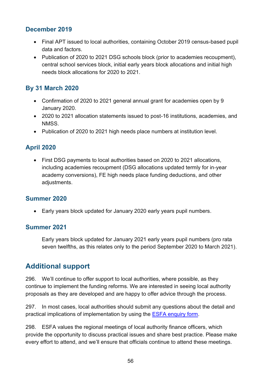## **December 2019**

- Final APT issued to local authorities, containing October 2019 census-based pupil data and factors.
- Publication of 2020 to 2021 DSG schools block (prior to academies recoupment), central school services block, initial early years block allocations and initial high needs block allocations for 2020 to 2021.

## **By 31 March 2020**

- Confirmation of 2020 to 2021 general annual grant for academies open by 9 January 2020.
- 2020 to 2021 allocation statements issued to post-16 institutions, academies, and NMSS.
- Publication of 2020 to 2021 high needs place numbers at institution level.

## **April 2020**

• First DSG payments to local authorities based on 2020 to 2021 allocations, including academies recoupment (DSG allocations updated termly for in-year academy conversions), FE high needs place funding deductions, and other adjustments.

#### **Summer 2020**

• Early years block updated for January 2020 early years pupil numbers.

#### **Summer 2021**

Early years block updated for January 2021 early years pupil numbers (pro rata seven twelfths, as this relates only to the period September 2020 to March 2021).

## <span id="page-55-0"></span>**Additional support**

296. We'll continue to offer support to local authorities, where possible, as they continue to implement the funding reforms. We are interested in seeing local authority proposals as they are developed and are happy to offer advice through the process.

297. In most cases, local authorities should submit any questions about the detail and practical implications of implementation by using the [ESFA enquiry form.](https://form.education.gov.uk/en/AchieveForms/?form_uri=sandbox-publish://AF-Process-f9f4f5a1-936f-448b-bbeb-9dcdd595f468/AF-Stage-8aa41278-3cdd-45a3-ad87-80cbffb8b992/definition.json&redirectlink=%2Fen&cancelRedirectLink=%2Fen)

298. ESFA values the regional meetings of local authority finance officers, which provide the opportunity to discuss practical issues and share best practice. Please make every effort to attend, and we'll ensure that officials continue to attend these meetings.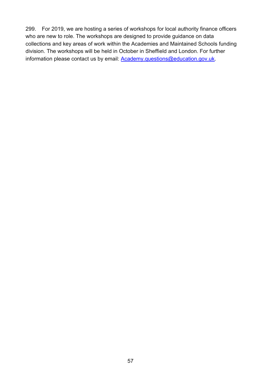299. For 2019, we are hosting a series of workshops for local authority finance officers who are new to role. The workshops are designed to provide guidance on data collections and key areas of work within the Academies and Maintained Schools funding division. The workshops will be held in October in Sheffield and London. For further information please contact us by email: **Academy.questions@education.gov.uk**.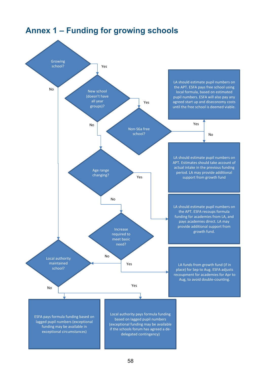

## <span id="page-57-1"></span><span id="page-57-0"></span>**Annex 1 – Funding for growing schools**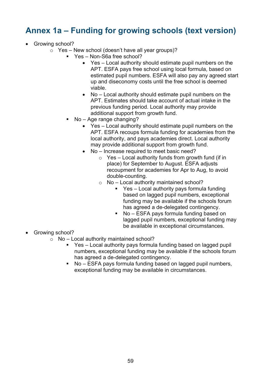# <span id="page-58-0"></span>**Annex 1a – Funding for growing schools (text version)**

- Growing school?
	- $\circ$  Yes New school (doesn't have all year groups)?
		- Yes Non-S6a free school?
			- Yes Local authority should estimate pupil numbers on the APT. ESFA pays free school using local formula, based on estimated pupil numbers. ESFA will also pay any agreed start up and diseconomy costs until the free school is deemed viable.
			- No Local authority should estimate pupil numbers on the APT. Estimates should take account of actual intake in the previous funding period. Local authority may provide additional support from growth fund.
		- No Age range changing?
			- Yes Local authority should estimate pupil numbers on the APT. ESFA recoups formula funding for academies from the local authority, and pays academies direct. Local authority may provide additional support from growth fund.
			- No Increase required to meet basic need?
				- $\circ$  Yes Local authority funds from growth fund (if in place) for September to August. ESFA adjusts recoupment for academies for Apr to Aug, to avoid double-counting.
				- $\circ$  No Local authority maintained school?
					- Yes Local authority pays formula funding based on lagged pupil numbers, exceptional funding may be available if the schools forum has agreed a de-delegated contingency.
					- No ESFA pays formula funding based on lagged pupil numbers, exceptional funding may be available in exceptional circumstances.
- Growing school?
	- o No Local authority maintained school?
		- Yes Local authority pays formula funding based on lagged pupil numbers, exceptional funding may be available if the schools forum has agreed a de-delegated contingency.
		- No ESFA pays formula funding based on lagged pupil numbers, exceptional funding may be available in circumstances.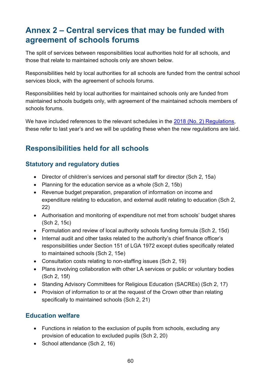# <span id="page-59-0"></span>**Annex 2 – Central services that may be funded with agreement of schools forums**

The split of services between responsibilities local authorities hold for all schools, and those that relate to maintained schools only are shown below.

Responsibilities held by local authorities for all schools are funded from the central school services block, with the agreement of schools forums.

Responsibilities held by local authorities for maintained schools only are funded from maintained schools budgets only, with agreement of the maintained schools members of schools forums.

We have included references to the relevant schedules in the [2018 \(No. 2\) Regulations,](http://www.legislation.gov.uk/uksi/2018/1185/contents/made) these refer to last year's and we will be updating these when the new regulations are laid.

## <span id="page-59-1"></span>**Responsibilities held for all schools**

## **Statutory and regulatory duties**

- Director of children's services and personal staff for director (Sch 2, 15a)
- Planning for the education service as a whole (Sch 2, 15b)
- Revenue budget preparation, preparation of information on income and expenditure relating to education, and external audit relating to education (Sch 2, 22)
- Authorisation and monitoring of expenditure not met from schools' budget shares (Sch 2, 15c)
- Formulation and review of local authority schools funding formula (Sch 2, 15d)
- Internal audit and other tasks related to the authority's chief finance officer's responsibilities under Section 151 of LGA 1972 except duties specifically related to maintained schools (Sch 2, 15e)
- Consultation costs relating to non-staffing issues (Sch 2, 19)
- Plans involving collaboration with other LA services or public or voluntary bodies (Sch 2, 15f)
- Standing Advisory Committees for Religious Education (SACREs) (Sch 2, 17)
- Provision of information to or at the request of the Crown other than relating specifically to maintained schools (Sch 2, 21)

## **Education welfare**

- Functions in relation to the exclusion of pupils from schools, excluding any provision of education to excluded pupils (Sch 2, 20)
- School attendance (Sch 2, 16)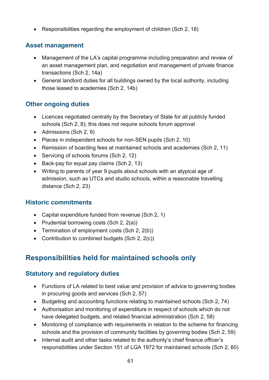• Responsibilities regarding the employment of children (Sch 2, 18)

## **Asset management**

- Management of the LA's capital programme including preparation and review of an asset management plan, and negotiation and management of private finance transactions (Sch 2, 14a)
- General landlord duties for all buildings owned by the local authority, including those leased to academies (Sch 2, 14b)

## **Other ongoing duties**

- Licences negotiated centrally by the Secretary of State for all publicly funded schools (Sch 2, 8); this does not require schools forum approval
- Admissions (Sch 2, 9)
- Places in independent schools for non-SEN pupils (Sch 2, 10)
- Remission of boarding fees at maintained schools and academies (Sch 2, 11)
- Servicing of schools forums (Sch 2, 12)
- Back-pay for equal pay claims (Sch 2, 13)
- Writing to parents of year 9 pupils about schools with an atypical age of admission, such as UTCs and studio schools, within a reasonable travelling distance (Sch 2, 23)

## **Historic commitments**

- Capital expenditure funded from revenue (Sch 2, 1)
- Prudential borrowing costs (Sch 2, 2(a))
- Termination of employment costs (Sch 2, 2(b))
- Contribution to combined budgets (Sch 2, 2(c))

## <span id="page-60-0"></span>**Responsibilities held for maintained schools only**

## **Statutory and regulatory duties**

- Functions of LA related to best value and provision of advice to governing bodies in procuring goods and services (Sch 2, 57)
- Budgeting and accounting functions relating to maintained schools (Sch 2, 74)
- Authorisation and monitoring of expenditure in respect of schools which do not have delegated budgets, and related financial administration (Sch 2, 58)
- Monitoring of compliance with requirements in relation to the scheme for financing schools and the provision of community facilities by governing bodies (Sch 2, 59)
- Internal audit and other tasks related to the authority's chief finance officer's responsibilities under Section 151 of LGA 1972 for maintained schools (Sch 2, 60)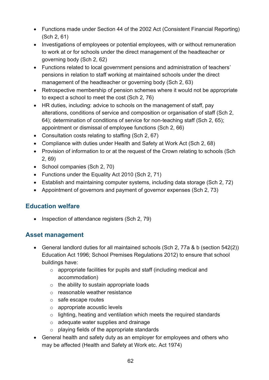- Functions made under Section 44 of the 2002 Act (Consistent Financial Reporting) (Sch 2, 61)
- Investigations of employees or potential employees, with or without remuneration to work at or for schools under the direct management of the headteacher or governing body (Sch 2, 62)
- Functions related to local government pensions and administration of teachers' pensions in relation to staff working at maintained schools under the direct management of the headteacher or governing body (Sch 2, 63)
- Retrospective membership of pension schemes where it would not be appropriate to expect a school to meet the cost (Sch 2, 76)
- HR duties, including: advice to schools on the management of staff, pay alterations, conditions of service and composition or organisation of staff (Sch 2, 64); determination of conditions of service for non-teaching staff (Sch 2, 65); appointment or dismissal of employee functions (Sch 2, 66)
- Consultation costs relating to staffing (Sch 2, 67)
- Compliance with duties under Health and Safety at Work Act (Sch 2, 68)
- Provision of information to or at the request of the Crown relating to schools (Sch 2, 69)
- School companies (Sch 2, 70)
- Functions under the Equality Act 2010 (Sch 2, 71)
- Establish and maintaining computer systems, including data storage (Sch 2, 72)
- Appointment of governors and payment of governor expenses (Sch 2, 73)

## **Education welfare**

• Inspection of attendance registers (Sch 2, 79)

#### **Asset management**

- General landlord duties for all maintained schools (Sch 2, 77a & b (section 542(2)) Education Act 1996; School Premises Regulations 2012) to ensure that school buildings have:
	- o appropriate facilities for pupils and staff (including medical and accommodation)
	- $\circ$  the ability to sustain appropriate loads
	- o reasonable weather resistance
	- o safe escape routes
	- o appropriate acoustic levels
	- $\circ$  lighting, heating and ventilation which meets the required standards
	- o adequate water supplies and drainage
	- $\circ$  playing fields of the appropriate standards
- General health and safety duty as an employer for employees and others who may be affected (Health and Safety at Work etc. Act 1974)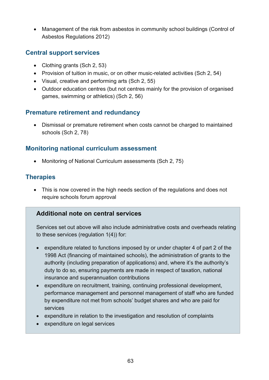• Management of the risk from asbestos in community school buildings (Control of Asbestos Regulations 2012)

## **Central support services**

- Clothing grants (Sch 2, 53)
- Provision of tuition in music, or on other music-related activities (Sch 2, 54)
- Visual, creative and performing arts (Sch 2, 55)
- Outdoor education centres (but not centres mainly for the provision of organised games, swimming or athletics) (Sch 2, 56)

## **Premature retirement and redundancy**

• Dismissal or premature retirement when costs cannot be charged to maintained schools (Sch 2, 78)

## **Monitoring national curriculum assessment**

• Monitoring of National Curriculum assessments (Sch 2, 75)

## **Therapies**

• This is now covered in the high needs section of the regulations and does not require schools forum approval

## **Additional note on central services**

Services set out above will also include administrative costs and overheads relating to these services (regulation 1(4)) for:

- expenditure related to functions imposed by or under chapter 4 of part 2 of the 1998 Act (financing of maintained schools), the administration of grants to the authority (including preparation of applications) and, where it's the authority's duty to do so, ensuring payments are made in respect of taxation, national insurance and superannuation contributions
- expenditure on recruitment, training, continuing professional development, performance management and personnel management of staff who are funded by expenditure not met from schools' budget shares and who are paid for services
- expenditure in relation to the investigation and resolution of complaints
- expenditure on legal services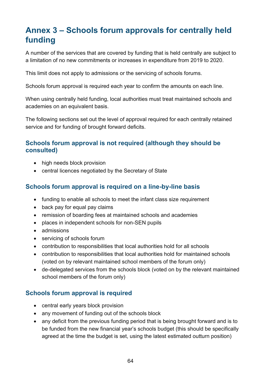# <span id="page-63-0"></span>**Annex 3 – Schools forum approvals for centrally held funding**

A number of the services that are covered by funding that is held centrally are subject to a limitation of no new commitments or increases in expenditure from 2019 to 2020.

This limit does not apply to admissions or the servicing of schools forums.

Schools forum approval is required each year to confirm the amounts on each line.

When using centrally held funding, local authorities must treat maintained schools and academies on an equivalent basis.

The following sections set out the level of approval required for each centrally retained service and for funding of brought forward deficits.

#### **Schools forum approval is not required (although they should be consulted)**

- high needs block provision
- central licences negotiated by the Secretary of State

#### **Schools forum approval is required on a line-by-line basis**

- funding to enable all schools to meet the infant class size requirement
- back pay for equal pay claims
- remission of boarding fees at maintained schools and academies
- places in independent schools for non-SEN pupils
- admissions
- servicing of schools forum
- contribution to responsibilities that local authorities hold for all schools
- contribution to responsibilities that local authorities hold for maintained schools (voted on by relevant maintained school members of the forum only)
- de-delegated services from the schools block (voted on by the relevant maintained school members of the forum only)

#### **Schools forum approval is required**

- central early years block provision
- any movement of funding out of the schools block
- any deficit from the previous funding period that is being brought forward and is to be funded from the new financial year's schools budget (this should be specifically agreed at the time the budget is set, using the latest estimated outturn position)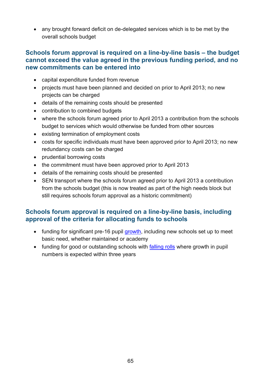• any brought forward deficit on de-delegated services which is to be met by the overall schools budget

#### **Schools forum approval is required on a line-by-line basis – the budget cannot exceed the value agreed in the previous funding period, and no new commitments can be entered into**

- capital expenditure funded from revenue
- projects must have been planned and decided on prior to April 2013; no new projects can be charged
- details of the remaining costs should be presented
- contribution to combined budgets
- where the schools forum agreed prior to April 2013 a contribution from the schools budget to services which would otherwise be funded from other sources
- existing termination of employment costs
- costs for specific individuals must have been approved prior to April 2013; no new redundancy costs can be charged
- prudential borrowing costs
- the commitment must have been approved prior to April 2013
- details of the remaining costs should be presented
- SEN transport where the schools forum agreed prior to April 2013 a contribution from the schools budget (this is now treated as part of the high needs block but still requires schools forum approval as a historic commitment)

#### **Schools forum approval is required on a line-by-line basis, including approval of the criteria for allocating funds to schools**

- funding for significant pre-16 pupil [growth,](#page-32-0) including new schools set up to meet basic need, whether maintained or academy
- funding for good or outstanding schools with [falling rolls](#page-34-0) where growth in pupil numbers is expected within three years